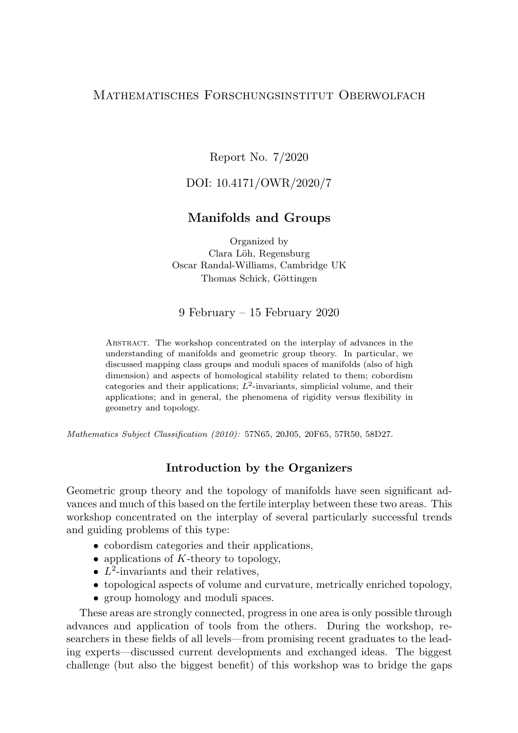# Mathematisches Forschungsinstitut Oberwolfach

Report No. 7/2020

# DOI: 10.4171/OWR/2020/7

# Manifolds and Groups

Organized by Clara Löh, Regensburg Oscar Randal-Williams, Cambridge UK Thomas Schick, Göttingen

### 9 February – 15 February 2020

Abstract. The workshop concentrated on the interplay of advances in the understanding of manifolds and geometric group theory. In particular, we discussed mapping class groups and moduli spaces of manifolds (also of high dimension) and aspects of homological stability related to them; cobordism categories and their applications;  $L^2$ -invariants, simplicial volume, and their applications; and in general, the phenomena of rigidity versus flexibility in geometry and topology.

Mathematics Subject Classification (2010): 57N65, 20J05, 20F65, 57R50, 58D27.

### Introduction by the Organizers

Geometric group theory and the topology of manifolds have seen significant advances and much of this based on the fertile interplay between these two areas. This workshop concentrated on the interplay of several particularly successful trends and guiding problems of this type:

- cobordism categories and their applications,
- applications of  $K$ -theory to topology,
- $L^2$ -invariants and their relatives,
- topological aspects of volume and curvature, metrically enriched topology,
- group homology and moduli spaces.

These areas are strongly connected, progress in one area is only possible through advances and application of tools from the others. During the workshop, researchers in these fields of all levels—from promising recent graduates to the leading experts—discussed current developments and exchanged ideas. The biggest challenge (but also the biggest benefit) of this workshop was to bridge the gaps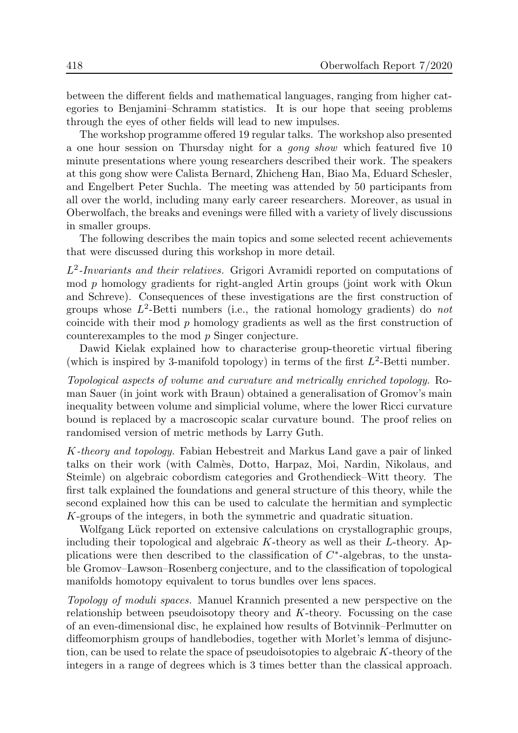between the different fields and mathematical languages, ranging from higher categories to Benjamini–Schramm statistics. It is our hope that seeing problems through the eyes of other fields will lead to new impulses.

The workshop programme offered 19 regular talks. The workshop also presented a one hour session on Thursday night for a gong show which featured five 10 minute presentations where young researchers described their work. The speakers at this gong show were Calista Bernard, Zhicheng Han, Biao Ma, Eduard Schesler, and Engelbert Peter Suchla. The meeting was attended by 50 participants from all over the world, including many early career researchers. Moreover, as usual in Oberwolfach, the breaks and evenings were filled with a variety of lively discussions in smaller groups.

The following describes the main topics and some selected recent achievements that were discussed during this workshop in more detail.

 $L^2$ -Invariants and their relatives. Grigori Avramidi reported on computations of mod p homology gradients for right-angled Artin groups (joint work with Okun and Schreve). Consequences of these investigations are the first construction of groups whose  $L^2$ -Betti numbers (i.e., the rational homology gradients) do not coincide with their mod p homology gradients as well as the first construction of counterexamples to the mod p Singer conjecture.

Dawid Kielak explained how to characterise group-theoretic virtual fibering (which is inspired by 3-manifold topology) in terms of the first  $L^2$ -Betti number.

Topological aspects of volume and curvature and metrically enriched topology. Roman Sauer (in joint work with Braun) obtained a generalisation of Gromov's main inequality between volume and simplicial volume, where the lower Ricci curvature bound is replaced by a macroscopic scalar curvature bound. The proof relies on randomised version of metric methods by Larry Guth.

K-theory and topology. Fabian Hebestreit and Markus Land gave a pair of linked talks on their work (with Calm`es, Dotto, Harpaz, Moi, Nardin, Nikolaus, and Steimle) on algebraic cobordism categories and Grothendieck–Witt theory. The first talk explained the foundations and general structure of this theory, while the second explained how this can be used to calculate the hermitian and symplectic K-groups of the integers, in both the symmetric and quadratic situation.

Wolfgang Lück reported on extensive calculations on crystallographic groups, including their topological and algebraic  $K$ -theory as well as their  $L$ -theory. Applications were then described to the classification of  $C^*$ -algebras, to the unstable Gromov–Lawson–Rosenberg conjecture, and to the classification of topological manifolds homotopy equivalent to torus bundles over lens spaces.

Topology of moduli spaces. Manuel Krannich presented a new perspective on the relationship between pseudoisotopy theory and K-theory. Focussing on the case of an even-dimensional disc, he explained how results of Botvinnik–Perlmutter on diffeomorphism groups of handlebodies, together with Morlet's lemma of disjunction, can be used to relate the space of pseudoisotopies to algebraic K-theory of the integers in a range of degrees which is 3 times better than the classical approach.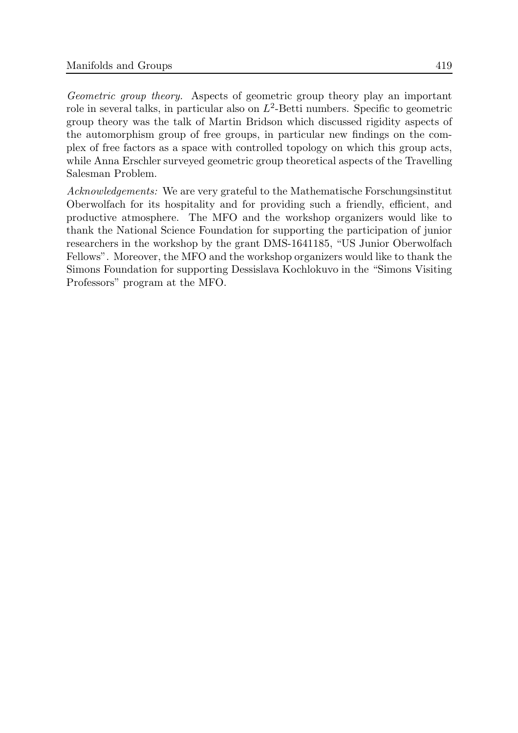Geometric group theory. Aspects of geometric group theory play an important role in several talks, in particular also on  $L^2$ -Betti numbers. Specific to geometric group theory was the talk of Martin Bridson which discussed rigidity aspects of the automorphism group of free groups, in particular new findings on the complex of free factors as a space with controlled topology on which this group acts, while Anna Erschler surveyed geometric group theoretical aspects of the Travelling Salesman Problem.

Acknowledgements: We are very grateful to the Mathematische Forschungsinstitut Oberwolfach for its hospitality and for providing such a friendly, efficient, and productive atmosphere. The MFO and the workshop organizers would like to thank the National Science Foundation for supporting the participation of junior researchers in the workshop by the grant DMS-1641185, "US Junior Oberwolfach Fellows". Moreover, the MFO and the workshop organizers would like to thank the Simons Foundation for supporting Dessislava Kochlokuvo in the "Simons Visiting Professors" program at the MFO.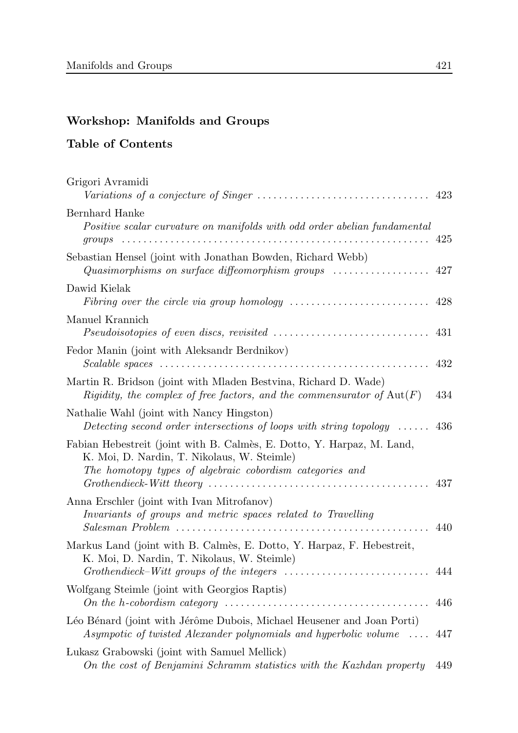# Workshop: Manifolds and Groups

# Table of Contents

| Grigori Avramidi                                                                                                                                                                                                                                                                                      |     |
|-------------------------------------------------------------------------------------------------------------------------------------------------------------------------------------------------------------------------------------------------------------------------------------------------------|-----|
| Bernhard Hanke<br>Positive scalar curvature on manifolds with odd order abelian fundamental                                                                                                                                                                                                           |     |
|                                                                                                                                                                                                                                                                                                       |     |
| Sebastian Hensel (joint with Jonathan Bowden, Richard Webb)<br>Quasimorphisms on surface diffeomorphism groups $\ldots \ldots \ldots \ldots \ldots$ 427                                                                                                                                               |     |
| Dawid Kielak                                                                                                                                                                                                                                                                                          |     |
| Manuel Krannich<br>$Pseudoisotopies of even discs, revisited \ldots \ldots \ldots \ldots \ldots \ldots \ldots \ldots \ldots 431$                                                                                                                                                                      |     |
| Fedor Manin (joint with Aleksandr Berdnikov)                                                                                                                                                                                                                                                          | 432 |
| Martin R. Bridson (joint with Mladen Bestvina, Richard D. Wade)<br>Rigidity, the complex of free factors, and the commensurator of $Aut(F)$                                                                                                                                                           | 434 |
| Nathalie Wahl (joint with Nancy Hingston)<br>Detecting second order intersections of loops with string topology $\ldots$ 436                                                                                                                                                                          |     |
| Fabian Hebestreit (joint with B. Calmès, E. Dotto, Y. Harpaz, M. Land,<br>K. Moi, D. Nardin, T. Nikolaus, W. Steimle)<br>The homotopy types of algebraic cobordism categories and<br>$Grothendieck-Witt$ theory $\ldots \ldots \ldots \ldots \ldots \ldots \ldots \ldots \ldots \ldots \ldots \ldots$ | 437 |
| Anna Erschler (joint with Ivan Mitrofanov)<br>Invariants of groups and metric spaces related to Travelling                                                                                                                                                                                            | 440 |
| Markus Land (joint with B. Calmès, E. Dotto, Y. Harpaz, F. Hebestreit,<br>K. Moi, D. Nardin, T. Nikolaus, W. Steimle)                                                                                                                                                                                 |     |
| Wolfgang Steimle (joint with Georgios Raptis)                                                                                                                                                                                                                                                         | 446 |
| Léo Bénard (joint with Jérôme Dubois, Michael Heusener and Joan Porti)<br>Asympotic of twisted Alexander polynomials and hyperbolic volume  447                                                                                                                                                       |     |
| Lukasz Grabowski (joint with Samuel Mellick)<br>On the cost of Benjamini Schramm statistics with the Kazhdan property                                                                                                                                                                                 | 449 |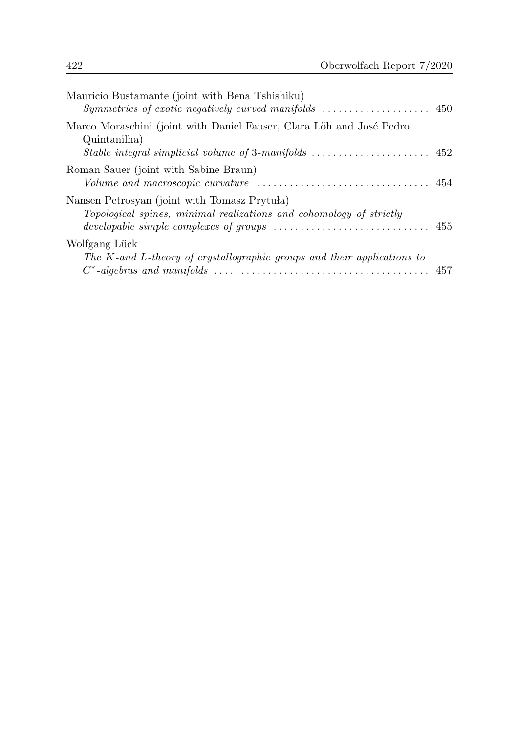| Mauricio Bustamante (joint with Bena Tshishiku)                                                                                                                                   |  |
|-----------------------------------------------------------------------------------------------------------------------------------------------------------------------------------|--|
| Marco Moraschini (joint with Daniel Fauser, Clara Löh and José Pedro<br>Quintanilha<br>Stable integral simplicial volume of 3-manifolds $\dots\dots\dots\dots\dots\dots\dots$ 452 |  |
| Roman Sauer (joint with Sabine Braun)<br>$Volume$ and macroscopic curvature $\ldots \ldots \ldots \ldots \ldots \ldots \ldots \ldots \ldots 454$                                  |  |
| Nansen Petrosyan (joint with Tomasz Prytuła)<br>Topological spines, minimal realizations and cohomology of strictly                                                               |  |
| Wolfgang Lück<br>The K-and L-theory of crystallographic groups and their applications to                                                                                          |  |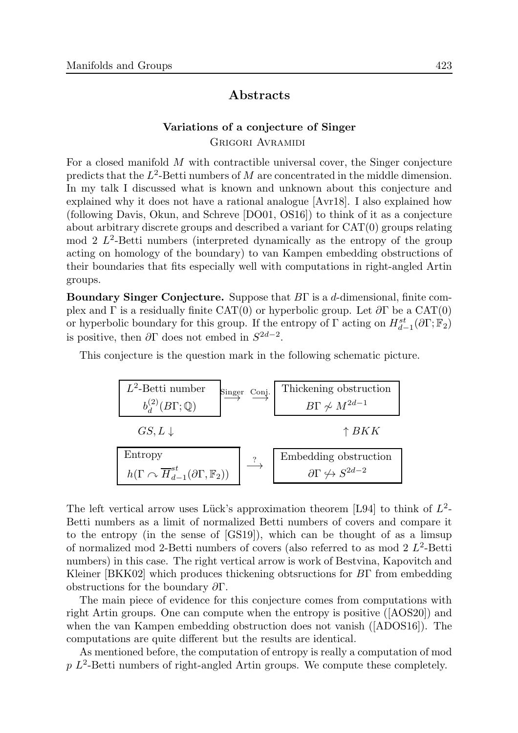## Abstracts

### Variations of a conjecture of Singer Grigori Avramidi

For a closed manifold M with contractible universal cover, the Singer conjecture predicts that the  $L^2$ -Betti numbers of M are concentrated in the middle dimension. In my talk I discussed what is known and unknown about this conjecture and explained why it does not have a rational analogue [Avr18]. I also explained how (following Davis, Okun, and Schreve [DO01, OS16]) to think of it as a conjecture about arbitrary discrete groups and described a variant for CAT(0) groups relating  $\mod 2$   $L^2$ -Betti numbers (interpreted dynamically as the entropy of the group acting on homology of the boundary) to van Kampen embedding obstructions of their boundaries that fits especially well with computations in right-angled Artin groups.

Boundary Singer Conjecture. Suppose that BΓ is a d-dimensional, finite complex and Γ is a residually finite CAT(0) or hyperbolic group. Let  $\partial \Gamma$  be a CAT(0) or hyperbolic boundary for this group. If the entropy of  $\Gamma$  acting on  $H^{st}_{d-1}(\partial\Gamma; \mathbb{F}_2)$ is positive, then  $\partial \Gamma$  does not embed in  $S^{2d-2}$ .

This conjecture is the question mark in the following schematic picture.



The left vertical arrow uses Lück's approximation theorem [L94] to think of  $L^2$ -Betti numbers as a limit of normalized Betti numbers of covers and compare it to the entropy (in the sense of [GS19]), which can be thought of as a limsup of normalized mod 2-Betti numbers of covers (also referred to as mod  $2 L^2$ -Betti numbers) in this case. The right vertical arrow is work of Bestvina, Kapovitch and Kleiner [BKK02] which produces thickening obtsructions for BΓ from embedding obstructions for the boundary ∂Γ.

The main piece of evidence for this conjecture comes from computations with right Artin groups. One can compute when the entropy is positive ([AOS20]) and when the van Kampen embedding obstruction does not vanish ([ADOS16]). The computations are quite different but the results are identical.

As mentioned before, the computation of entropy is really a computation of mod  $p L<sup>2</sup>$ -Betti numbers of right-angled Artin groups. We compute these completely.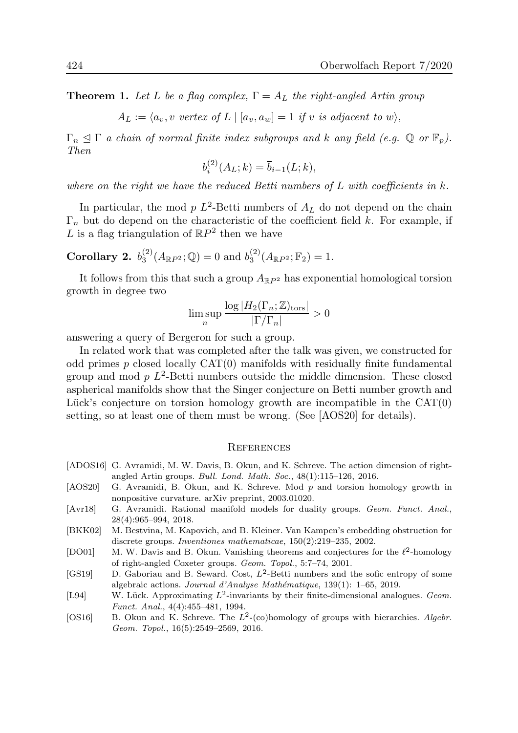**Theorem 1.** Let L be a flag complex,  $\Gamma = A_L$  the right-angled Artin group

 $A_L := \langle a_v, v \text{ vertex of } L | [a_v, a_w] = 1 \text{ if } v \text{ is adjacent to } w \rangle,$ 

 $\Gamma_n \leq \Gamma$  a chain of normal finite index subgroups and k any field (e.g.  $\mathbb{Q}$  or  $\mathbb{F}_p$ ). Then

$$
b_i^{(2)}(A_L;k) = \overline{b}_{i-1}(L;k),
$$

where on the right we have the reduced Betti numbers of  $L$  with coefficients in  $k$ .

In particular, the mod  $p L^2$ -Betti numbers of  $A_L$  do not depend on the chain  $\Gamma_n$  but do depend on the characteristic of the coefficient field k. For example, if L is a flag triangulation of  $\mathbb{R}P^2$  then we have

Corollary 2.  $b_3^{(2)}$  $j_3^{(2)}(A_{\mathbb{R}P^2};\mathbb{Q})=0$  and  $b_3^{(2)}$  $J_3^{(2)}(A_{\mathbb{R}P^2};\mathbb{F}_2)=1.$ 

It follows from this that such a group  $A_{\mathbb{R}P^2}$  has exponential homological torsion growth in degree two

$$
\limsup_{n} \frac{\log |H_2(\Gamma_n; \mathbb{Z})_{\text{tors}}|}{|\Gamma/\Gamma_n|} > 0
$$

answering a query of Bergeron for such a group.

In related work that was completed after the talk was given, we constructed for odd primes p closed locally CAT(0) manifolds with residually finite fundamental group and mod  $p L<sup>2</sup>$ -Betti numbers outside the middle dimension. These closed aspherical manifolds show that the Singer conjecture on Betti number growth and Lück's conjecture on torsion homology growth are incompatible in the  $CAT(0)$ setting, so at least one of them must be wrong. (See [AOS20] for details).

#### **REFERENCES**

- [ADOS16] G. Avramidi, M. W. Davis, B. Okun, and K. Schreve. The action dimension of rightangled Artin groups. Bull. Lond. Math. Soc., 48(1):115–126, 2016.
- [AOS20] G. Avramidi, B. Okun, and K. Schreve. Mod p and torsion homology growth in nonpositive curvature. arXiv preprint, 2003.01020.
- [Avr18] G. Avramidi. Rational manifold models for duality groups. Geom. Funct. Anal., 28(4):965–994, 2018.
- [BKK02] M. Bestvina, M. Kapovich, and B. Kleiner. Van Kampen's embedding obstruction for discrete groups. Inventiones mathematicae, 150(2):219–235, 2002.
- [DO01] M. W. Davis and B. Okun. Vanishing theorems and conjectures for the  $\ell^2$ -homology of right-angled Coxeter groups. Geom. Topol., 5:7–74, 2001.
- [GS19] D. Gaboriau and B. Seward. Cost,  $L^2$ -Betti numbers and the sofic entropy of some algebraic actions. Journal d'Analyse Mathématique, 139(1): 1–65, 2019.
- [L94] W. Lück. Approximating  $L^2$ -invariants by their finite-dimensional analogues. Geom. Funct. Anal., 4(4):455–481, 1994.
- [OS16] B. Okun and K. Schreve. The  $L^2$ -(co)homology of groups with hierarchies. Algebr. Geom. Topol., 16(5):2549–2569, 2016.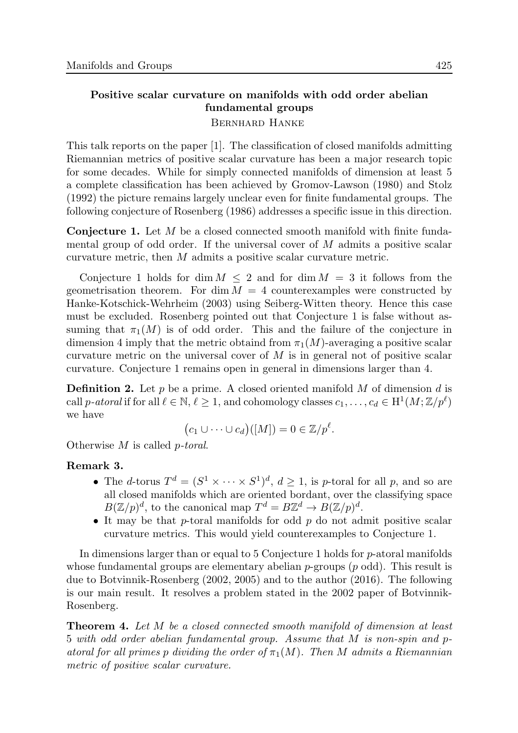# Positive scalar curvature on manifolds with odd order abelian fundamental groups

### Bernhard Hanke

This talk reports on the paper [1]. The classification of closed manifolds admitting Riemannian metrics of positive scalar curvature has been a major research topic for some decades. While for simply connected manifolds of dimension at least 5 a complete classification has been achieved by Gromov-Lawson (1980) and Stolz (1992) the picture remains largely unclear even for finite fundamental groups. The following conjecture of Rosenberg (1986) addresses a specific issue in this direction.

**Conjecture 1.** Let M be a closed connected smooth manifold with finite fundamental group of odd order. If the universal cover of M admits a positive scalar curvature metric, then M admits a positive scalar curvature metric.

Conjecture 1 holds for dim  $M \leq 2$  and for dim  $M = 3$  it follows from the geometrisation theorem. For dim  $M = 4$  counterexamples were constructed by Hanke-Kotschick-Wehrheim (2003) using Seiberg-Witten theory. Hence this case must be excluded. Rosenberg pointed out that Conjecture 1 is false without assuming that  $\pi_1(M)$  is of odd order. This and the failure of the conjecture in dimension 4 imply that the metric obtaind from  $\pi_1(M)$ -averaging a positive scalar curvature metric on the universal cover of  $M$  is in general not of positive scalar curvature. Conjecture 1 remains open in general in dimensions larger than 4.

**Definition 2.** Let p be a prime. A closed oriented manifold M of dimension d is call p-atoral if for all  $\ell \in \mathbb{N}, \ell \ge 1$ , and cohomology classes  $c_1, \ldots, c_d \in \mathrm{H}^1(M; \mathbb{Z}/p^\ell)$ we have

$$
(c_1 \cup \cdots \cup c_d)([M]) = 0 \in \mathbb{Z}/p^{\ell}.
$$

Otherwise M is called p-toral.

### Remark 3.

- The d-torus  $T^d = (S^1 \times \cdots \times S^1)^d$ ,  $d \geq 1$ , is p-toral for all p, and so are all closed manifolds which are oriented bordant, over the classifying space  $B(\mathbb{Z}/p)^d$ , to the canonical map  $T^d = B\mathbb{Z}^d \to B(\mathbb{Z}/p)^d$ .
- It may be that  $p$ -toral manifolds for odd  $p$  do not admit positive scalar curvature metrics. This would yield counterexamples to Conjecture 1.

In dimensions larger than or equal to 5 Conjecture 1 holds for p-atoral manifolds whose fundamental groups are elementary abelian  $p$ -groups  $(p \text{ odd})$ . This result is due to Botvinnik-Rosenberg (2002, 2005) and to the author (2016). The following is our main result. It resolves a problem stated in the 2002 paper of Botvinnik-Rosenberg.

Theorem 4. Let M be a closed connected smooth manifold of dimension at least 5 with odd order abelian fundamental group. Assume that M is non-spin and patoral for all primes p dividing the order of  $\pi_1(M)$ . Then M admits a Riemannian metric of positive scalar curvature.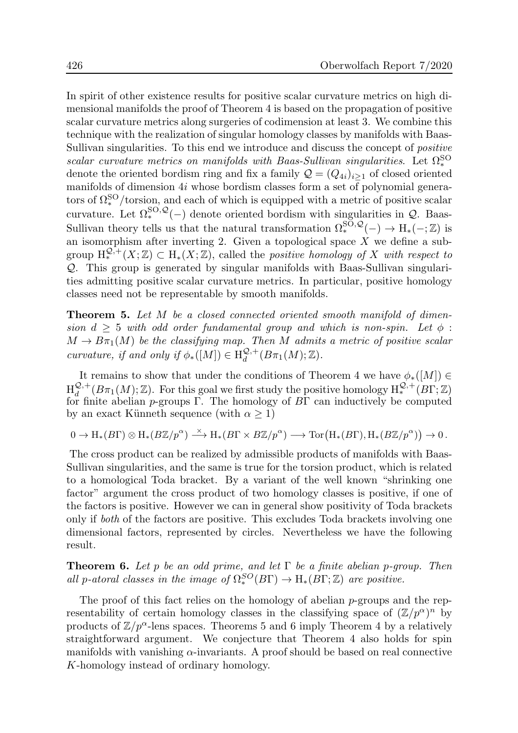In spirit of other existence results for positive scalar curvature metrics on high dimensional manifolds the proof of Theorem 4 is based on the propagation of positive scalar curvature metrics along surgeries of codimension at least 3. We combine this technique with the realization of singular homology classes by manifolds with Baas-Sullivan singularities. To this end we introduce and discuss the concept of positive scalar curvature metrics on manifolds with Baas-Sullivan singularities. Let  $\Omega_*^{SO}$ denote the oriented bordism ring and fix a family  $\mathcal{Q} = (Q_{4i})_{i>1}$  of closed oriented manifolds of dimension 4i whose bordism classes form a set of polynomial generators of  $\Omega_*^{\text{SO}}$ /torsion, and each of which is equipped with a metric of positive scalar curvature. Let  $\Omega_*^{\text{SO},\mathcal{Q}}(-)$  denote oriented bordism with singularities in  $\mathcal{Q}$ . Baas-Sullivan theory tells us that the natural transformation  $\Omega_*^{\text{SO},\mathcal{Q}}(-) \to \text{H}_*(-;\mathbb{Z})$  is an isomorphism after inverting 2. Given a topological space  $\overline{X}$  we define a subgroup  $H_*^{\mathcal{Q},+}(X;\mathbb{Z}) \subset H_*(X;\mathbb{Z})$ , called the *positive homology of* X with respect to Q. This group is generated by singular manifolds with Baas-Sullivan singularities admitting positive scalar curvature metrics. In particular, positive homology classes need not be representable by smooth manifolds.

**Theorem 5.** Let M be a closed connected oriented smooth manifold of dimension  $d \geq 5$  with odd order fundamental group and which is non-spin. Let  $\phi$ :  $M \to B\pi_1(M)$  be the classifying map. Then M admits a metric of positive scalar curvature, if and only if  $\phi_*([M]) \in H_d^{\mathcal{Q},+}$  $_{d}^{\mathcal{Q},+}(B\pi_1(M);\mathbb{Z}).$ 

It remains to show that under the conditions of Theorem 4 we have  $\phi_*([M]) \in$  ${\rm H}^{\mathcal{Q},+}_{d}$  $\mathcal{Q},^+(B\pi_1(M); \mathbb{Z})$ . For this goal we first study the positive homology  $H_*^{\mathcal{Q},+}(B\Gamma; \mathbb{Z})$ for finite abelian *p*-groups Γ. The homology of  $B\Gamma$  can inductively be computed by an exact Künneth sequence (with  $\alpha > 1$ )

$$
0 \to H_*(B\Gamma) \otimes H_*(B\mathbb{Z}/p^{\alpha}) \xrightarrow{\times} H_*(B\Gamma \times B\mathbb{Z}/p^{\alpha}) \longrightarrow \text{Tor}(H_*(B\Gamma), H_*(B\mathbb{Z}/p^{\alpha})) \to 0.
$$

The cross product can be realized by admissible products of manifolds with Baas-Sullivan singularities, and the same is true for the torsion product, which is related to a homological Toda bracket. By a variant of the well known "shrinking one factor" argument the cross product of two homology classes is positive, if one of the factors is positive. However we can in general show positivity of Toda brackets only if both of the factors are positive. This excludes Toda brackets involving one dimensional factors, represented by circles. Nevertheless we have the following result.

**Theorem 6.** Let p be an odd prime, and let  $\Gamma$  be a finite abelian p-group. Then all p-atoral classes in the image of  $\Omega_*^{SO}(B\Gamma) \to H_*(B\Gamma;\mathbb{Z})$  are positive.

The proof of this fact relies on the homology of abelian p-groups and the representability of certain homology classes in the classifying space of  $(\mathbb{Z}/p^{\alpha})^n$  by products of  $\mathbb{Z}/p^{\alpha}$ -lens spaces. Theorems 5 and 6 imply Theorem 4 by a relatively straightforward argument. We conjecture that Theorem 4 also holds for spin manifolds with vanishing  $\alpha$ -invariants. A proof should be based on real connective K-homology instead of ordinary homology.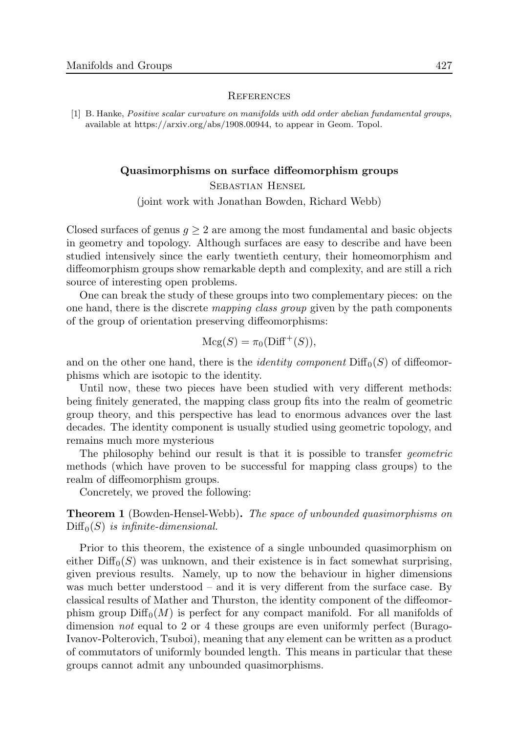#### **REFERENCES**

[1] B. Hanke, Positive scalar curvature on manifolds with odd order abelian fundamental groups, available at https://arxiv.org/abs/1908.00944, to appear in Geom. Topol.

### Quasimorphisms on surface diffeomorphism groups

Sebastian Hensel (joint work with Jonathan Bowden, Richard Webb)

Closed surfaces of genus  $q \geq 2$  are among the most fundamental and basic objects in geometry and topology. Although surfaces are easy to describe and have been studied intensively since the early twentieth century, their homeomorphism and diffeomorphism groups show remarkable depth and complexity, and are still a rich source of interesting open problems.

One can break the study of these groups into two complementary pieces: on the one hand, there is the discrete mapping class group given by the path components of the group of orientation preserving diffeomorphisms:

$$
Mcg(S) = \pi_0(\text{Diff}^+(S)),
$$

and on the other one hand, there is the *identity component*  $\text{Diff}_0(S)$  of diffeomorphisms which are isotopic to the identity.

Until now, these two pieces have been studied with very different methods: being finitely generated, the mapping class group fits into the realm of geometric group theory, and this perspective has lead to enormous advances over the last decades. The identity component is usually studied using geometric topology, and remains much more mysterious

The philosophy behind our result is that it is possible to transfer *geometric* methods (which have proven to be successful for mapping class groups) to the realm of diffeomorphism groups.

Concretely, we proved the following:

Theorem 1 (Bowden-Hensel-Webb). The space of unbounded quasimorphisms on  $Diff_0(S)$  is infinite-dimensional.

Prior to this theorem, the existence of a single unbounded quasimorphism on either  $\text{Diff}_0(S)$  was unknown, and their existence is in fact somewhat surprising, given previous results. Namely, up to now the behaviour in higher dimensions was much better understood – and it is very different from the surface case. By classical results of Mather and Thurston, the identity component of the diffeomorphism group  $\text{Diff}_0(M)$  is perfect for any compact manifold. For all manifolds of dimension not equal to 2 or 4 these groups are even uniformly perfect (Burago-Ivanov-Polterovich, Tsuboi), meaning that any element can be written as a product of commutators of uniformly bounded length. This means in particular that these groups cannot admit any unbounded quasimorphisms.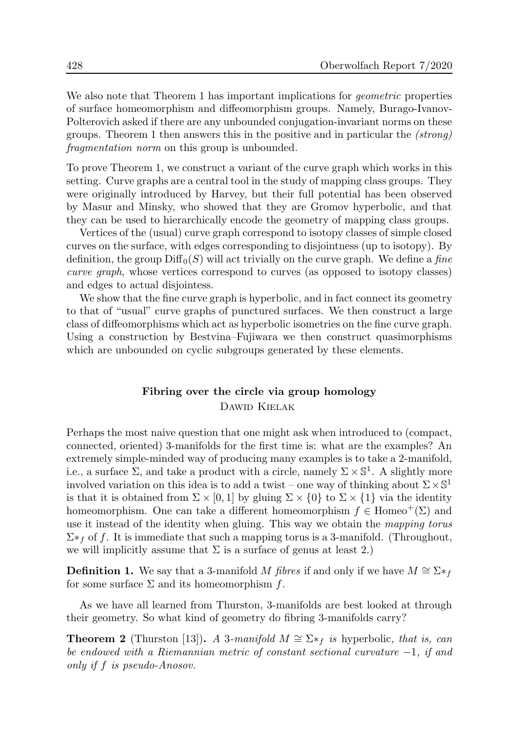We also note that Theorem 1 has important implications for *geometric* properties of surface homeomorphism and diffeomorphism groups. Namely, Burago-Ivanov-Polterovich asked if there are any unbounded conjugation-invariant norms on these groups. Theorem 1 then answers this in the positive and in particular the (strong) fragmentation norm on this group is unbounded.

To prove Theorem 1, we construct a variant of the curve graph which works in this setting. Curve graphs are a central tool in the study of mapping class groups. They were originally introduced by Harvey, but their full potential has been observed by Masur and Minsky, who showed that they are Gromov hyperbolic, and that they can be used to hierarchically encode the geometry of mapping class groups.

Vertices of the (usual) curve graph correspond to isotopy classes of simple closed curves on the surface, with edges corresponding to disjointness (up to isotopy). By definition, the group  $\text{Diff}_0(S)$  will act trivially on the curve graph. We define a fine curve graph, whose vertices correspond to curves (as opposed to isotopy classes) and edges to actual disjointess.

We show that the fine curve graph is hyperbolic, and in fact connect its geometry to that of "usual" curve graphs of punctured surfaces. We then construct a large class of diffeomorphisms which act as hyperbolic isometries on the fine curve graph. Using a construction by Bestvina–Fujiwara we then construct quasimorphisms which are unbounded on cyclic subgroups generated by these elements.

## Fibring over the circle via group homology Dawid Kielak

Perhaps the most naive question that one might ask when introduced to (compact, connected, oriented) 3-manifolds for the first time is: what are the examples? An extremely simple-minded way of producing many examples is to take a 2-manifold, i.e., a surface  $\Sigma$ , and take a product with a circle, namely  $\Sigma \times \mathbb{S}^1$ . A slightly more involved variation on this idea is to add a twist – one way of thinking about  $\Sigma \times \mathbb{S}^1$ is that it is obtained from  $\Sigma \times [0,1]$  by gluing  $\Sigma \times \{0\}$  to  $\Sigma \times \{1\}$  via the identity homeomorphism. One can take a different homeomorphism  $f \in \text{Homeo}^+(\Sigma)$  and use it instead of the identity when gluing. This way we obtain the mapping torus  $\Sigma^*$  of f. It is immediate that such a mapping torus is a 3-manifold. (Throughout, we will implicitly assume that  $\Sigma$  is a surface of genus at least 2.)

**Definition 1.** We say that a 3-manifold M fibres if and only if we have  $M \cong \Sigma *_{f}$ for some surface  $\Sigma$  and its homeomorphism f.

As we have all learned from Thurston, 3-manifolds are best looked at through their geometry. So what kind of geometry do fibring 3-manifolds carry?

**Theorem 2** (Thurston [13]). A 3-manifold  $M \cong \Sigma *_{f}$  is hyperbolic, that is, can be endowed with a Riemannian metric of constant sectional curvature −1, if and only if f is pseudo-Anosov.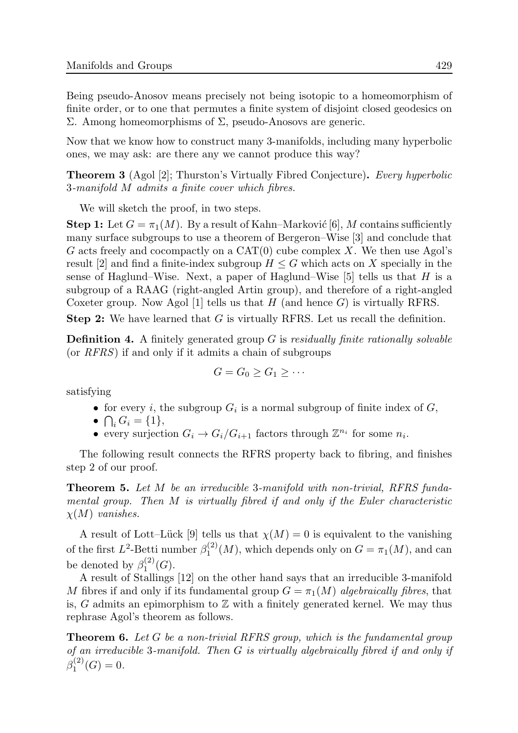Being pseudo-Anosov means precisely not being isotopic to a homeomorphism of finite order, or to one that permutes a finite system of disjoint closed geodesics on Σ. Among homeomorphisms of Σ, pseudo-Anosovs are generic.

Now that we know how to construct many 3-manifolds, including many hyperbolic ones, we may ask: are there any we cannot produce this way?

**Theorem 3** (Agol [2]; Thurston's Virtually Fibred Conjecture). Every hyperbolic 3-manifold M admits a finite cover which fibres.

We will sketch the proof, in two steps.

**Step 1:** Let  $G = \pi_1(M)$ . By a result of Kahn–Marković [6], M contains sufficiently many surface subgroups to use a theorem of Bergeron–Wise [3] and conclude that G acts freely and cocompactly on a  $CAT(0)$  cube complex X. We then use Agol's result [2] and find a finite-index subgroup  $H \leq G$  which acts on X specially in the sense of Haglund–Wise. Next, a paper of Haglund–Wise  $[5]$  tells us that H is a subgroup of a RAAG (right-angled Artin group), and therefore of a right-angled Coxeter group. Now Agol [1] tells us that H (and hence  $G$ ) is virtually RFRS.

Step 2: We have learned that G is virtually RFRS. Let us recall the definition.

**Definition 4.** A finitely generated group  $G$  is *residually finite rationally solvable* (or RFRS) if and only if it admits a chain of subgroups

$$
G=G_0\geq G_1\geq \cdots
$$

satisfying

- for every *i*, the subgroup  $G_i$  is a normal subgroup of finite index of  $G$ ,
- $\bigcap_i G_i = \{1\},\$
- every surjection  $G_i \to G_i/G_{i+1}$  factors through  $\mathbb{Z}^{n_i}$  for some  $n_i$ .

The following result connects the RFRS property back to fibring, and finishes step 2 of our proof.

**Theorem 5.** Let M be an irreducible 3-manifold with non-trivial, RFRS fundamental group. Then M is virtually fibred if and only if the Euler characteristic  $\chi(M)$  vanishes.

A result of Lott–Lück [9] tells us that  $\chi(M) = 0$  is equivalent to the vanishing of the first  $L^2$ -Betti number  $\beta_1^{(2)}$  $I_1^{(2)}(M)$ , which depends only on  $G = \pi_1(M)$ , and can be denoted by  $\beta_1^{(2)}$  $\binom{2}{1}(G).$ 

A result of Stallings [12] on the other hand says that an irreducible 3-manifold M fibres if and only if its fundamental group  $G = \pi_1(M)$  algebraically fibres, that is, G admits an epimorphism to  $\mathbb Z$  with a finitely generated kernel. We may thus rephrase Agol's theorem as follows.

**Theorem 6.** Let G be a non-trivial RFRS group, which is the fundamental group of an irreducible 3-manifold. Then G is virtually algebraically fibred if and only if  $\beta_1^{(2)}$  $j_1^{(2)}(G)=0.$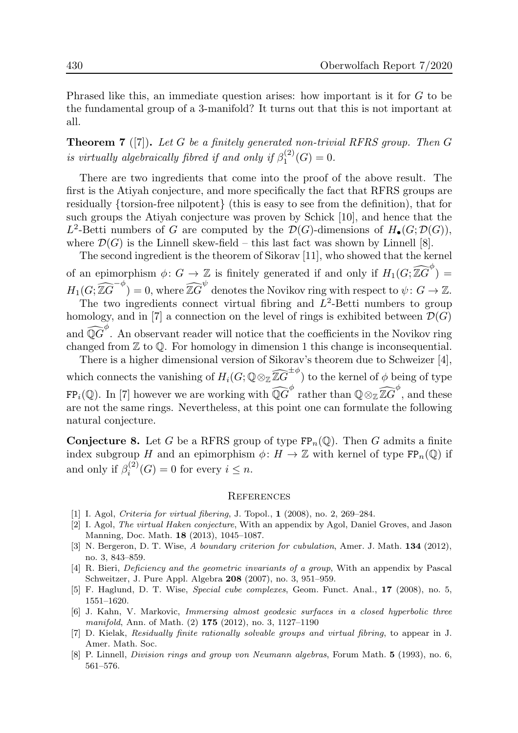Phrased like this, an immediate question arises: how important is it for G to be the fundamental group of a 3-manifold? It turns out that this is not important at all.

**Theorem 7** ([7]). Let G be a finitely generated non-trivial RFRS group. Then  $G$ is virtually algebraically fibred if and only if  $\beta_1^{(2)}$  $j_1^{(2)}(G)=0.$ 

There are two ingredients that come into the proof of the above result. The first is the Atiyah conjecture, and more specifically the fact that RFRS groups are residually {torsion-free nilpotent} (this is easy to see from the definition), that for such groups the Atiyah conjecture was proven by Schick [10], and hence that the  $L^2$ -Betti numbers of G are computed by the  $\mathcal{D}(G)$ -dimensions of  $H_{\bullet}(G; \mathcal{D}(G)),$ where  $\mathcal{D}(G)$  is the Linnell skew-field – this last fact was shown by Linnell [8].

The second ingredient is the theorem of Sikorav [11], who showed that the kernel of an epimorphism  $\phi: G \to \mathbb{Z}$  is finitely generated if and only if  $H_1(G; \widehat{\mathbb{Z}G}^{\phi}) =$  $H_1(G; \widehat{\mathbb{Z}G}^{-\phi}) = 0$ , where  $\widehat{\mathbb{Z}G}^{\psi}$  denotes the Novikov ring with respect to  $\psi \colon G \to \mathbb{Z}$ . The two ingredients connect virtual fibring and  $L^2$ -Betti numbers to group homology, and in [7] a connection on the level of rings is exhibited between  $\mathcal{D}(G)$ and  $\widehat{\mathbb{Q}G}^{\phi}$ . An observant reader will notice that the coefficients in the Novikov ring changed from  $\mathbb Z$  to  $\mathbb Q$ . For homology in dimension 1 this change is inconsequential.

There is a higher dimensional version of Sikorav's theorem due to Schweizer [4], which connects the vanishing of  $H_i(G; \mathbb{Q} \otimes_{\mathbb{Z}} \widehat{\mathbb{Z} G}^{\pm \phi})$  to the kernel of  $\phi$  being of type  $FP_i(\mathbb{Q})$ . In [7] however we are working with  $\widehat{\mathbb{Q}G}^{\phi}$  rather than  $\mathbb{Q} \otimes_{\mathbb{Z}} \widehat{\mathbb{Z}G}^{\phi}$ , and these are not the same rings. Nevertheless, at this point one can formulate the following natural conjecture.

**Conjecture 8.** Let G be a RFRS group of type  $\text{FP}_n(\mathbb{Q})$ . Then G admits a finite index subgroup H and an epimorphism  $\phi: H \to \mathbb{Z}$  with kernel of type  $\text{FP}_n(\mathbb{Q})$  if and only if  $\beta_i^{(2)}$  $i_i^{(2)}(G) = 0$  for every  $i \leq n$ .

#### **REFERENCES**

- [1] I. Agol, Criteria for virtual fibering, J. Topol., **1** (2008), no. 2, 269–284.
- [2] I. Agol, The virtual Haken conjecture, With an appendix by Agol, Daniel Groves, and Jason Manning, Doc. Math. 18 (2013), 1045–1087.
- [3] N. Bergeron, D. T. Wise, A boundary criterion for cubulation, Amer. J. Math. 134 (2012), no. 3, 843–859.
- [4] R. Bieri, Deficiency and the geometric invariants of a group, With an appendix by Pascal Schweitzer, J. Pure Appl. Algebra 208 (2007), no. 3, 951–959.
- [5] F. Haglund, D. T. Wise, Special cube complexes, Geom. Funct. Anal., 17 (2008), no. 5, 1551–1620.
- [6] J. Kahn, V. Markovic, Immersing almost geodesic surfaces in a closed hyperbolic three manifold, Ann. of Math. (2) 175 (2012), no. 3, 1127–1190
- [7] D. Kielak, Residually finite rationally solvable groups and virtual fibring, to appear in J. Amer. Math. Soc.
- [8] P. Linnell, Division rings and group von Neumann algebras, Forum Math. 5 (1993), no. 6, 561–576.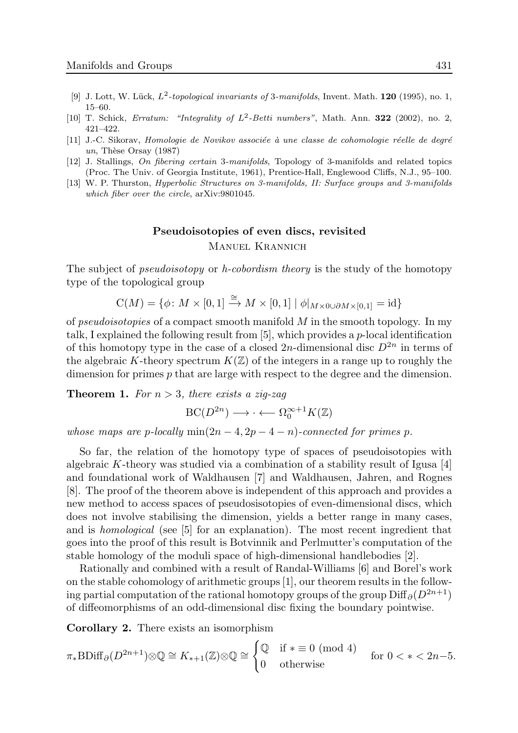- [9] J. Lott, W. Lück,  $L^2$ -topological invariants of 3-manifolds, Invent. Math. **120** (1995), no. 1, 15–60.
- [10] T. Schick, Erratum: "Integrality of  $L^2$ -Betti numbers", Math. Ann. **322** (2002), no. 2, 421–422.
- [11] J.-C. Sikorav, Homologie de Novikov associée à une classe de cohomologie réelle de degré un, Thèse Orsay  $(1987)$
- [12] J. Stallings, On fibering certain 3-manifolds, Topology of 3-manifolds and related topics (Proc. The Univ. of Georgia Institute, 1961), Prentice-Hall, Englewood Cliffs, N.J., 95–100.
- [13] W. P. Thurston, Hyperbolic Structures on 3-manifolds, II: Surface groups and 3-manifolds which fiber over the circle, arXiv:9801045.

## Pseudoisotopies of even discs, revisited Manuel Krannich

The subject of *pseudoisotopy* or *h-cobordism theory* is the study of the homotopy type of the topological group

 $C(M) = \{ \phi \colon M \times [0,1] \stackrel{\cong}{\to} M \times [0,1] \mid \phi|_{M \times 0 \cup \partial M \times [0,1]} = \mathrm{id} \}$ 

of *pseudoisotopies* of a compact smooth manifold  $M$  in the smooth topology. In my talk, I explained the following result from  $[5]$ , which provides a *p*-local identification of this homotopy type in the case of a closed 2n-dimensional disc  $D^{2n}$  in terms of the algebraic K-theory spectrum  $K(\mathbb{Z})$  of the integers in a range up to roughly the dimension for primes p that are large with respect to the degree and the dimension.

**Theorem 1.** For  $n > 3$ , there exists a zig-zag

 $BC(D^{2n}) \longrightarrow \cdots \longleftarrow \Omega_0^{\infty+1}K(\mathbb{Z})$ 

whose maps are p-locally  $min(2n-4, 2p-4-n)$ -connected for primes p.

So far, the relation of the homotopy type of spaces of pseudoisotopies with algebraic K-theory was studied via a combination of a stability result of Igusa [4] and foundational work of Waldhausen [7] and Waldhausen, Jahren, and Rognes [8]. The proof of the theorem above is independent of this approach and provides a new method to access spaces of pseudosisotopies of even-dimensional discs, which does not involve stabilising the dimension, yields a better range in many cases, and is homological (see [5] for an explanation). The most recent ingredient that goes into the proof of this result is Botvinnik and Perlmutter's computation of the stable homology of the moduli space of high-dimensional handlebodies [2].

Rationally and combined with a result of Randal-Williams [6] and Borel's work on the stable cohomology of arithmetic groups [1], our theorem results in the following partial computation of the rational homotopy groups of the group  $\text{Diff}_{\partial}(D^{2n+1})$ of diffeomorphisms of an odd-dimensional disc fixing the boundary pointwise.

Corollary 2. There exists an isomorphism

$$
\pi_*\mathrm{BDiff}_{\partial}(D^{2n+1})\otimes\mathbb{Q}\cong K_{*+1}(\mathbb{Z})\otimes\mathbb{Q}\cong\begin{cases}\mathbb{Q} & \text{if } * \equiv 0 \pmod{4} \\ 0 & \text{otherwise}\end{cases} \quad \text{for } 0 < * < 2n-5.
$$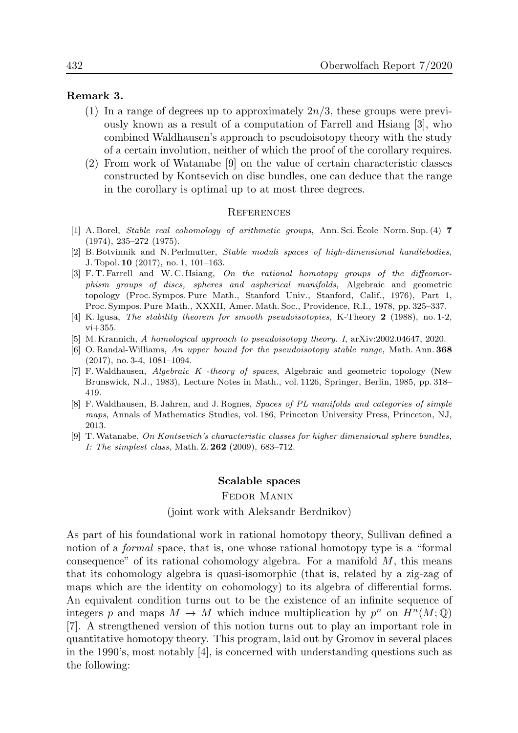### Remark 3.

- (1) In a range of degrees up to approximately  $2n/3$ , these groups were previously known as a result of a computation of Farrell and Hsiang [3], who combined Waldhausen's approach to pseudoisotopy theory with the study of a certain involution, neither of which the proof of the corollary requires.
- (2) From work of Watanabe [9] on the value of certain characteristic classes constructed by Kontsevich on disc bundles, one can deduce that the range in the corollary is optimal up to at most three degrees.

#### **REFERENCES**

- [1] A. Borel, *Stable real cohomology of arithmetic groups*, Ann. Sci. Ecole Norm. Sup. (4)  $7$ (1974), 235–272 (1975).
- [2] B. Botvinnik and N. Perlmutter, Stable moduli spaces of high-dimensional handlebodies, J. Topol. 10 (2017), no. 1, 101–163.
- [3] F. T. Farrell and W. C. Hsiang, On the rational homotopy groups of the diffeomorphism groups of discs, spheres and aspherical manifolds, Algebraic and geometric topology (Proc. Sympos. Pure Math., Stanford Univ., Stanford, Calif., 1976), Part 1, Proc. Sympos. Pure Math., XXXII, Amer. Math. Soc., Providence, R.I., 1978, pp. 325–337.
- [4] K. Igusa, The stability theorem for smooth pseudoisotopies, K-Theory 2 (1988), no. 1-2, vi+355.
- [5] M. Krannich, A homological approach to pseudoisotopy theory. I, arXiv:2002.04647, 2020.
- [6] O. Randal-Williams, An upper bound for the pseudoisotopy stable range, Math. Ann. 368 (2017), no. 3-4, 1081–1094.
- [7] F.Waldhausen, Algebraic K -theory of spaces, Algebraic and geometric topology (New Brunswick, N.J., 1983), Lecture Notes in Math., vol. 1126, Springer, Berlin, 1985, pp. 318– 419.
- [8] F.Waldhausen, B. Jahren, and J. Rognes, Spaces of PL manifolds and categories of simple maps, Annals of Mathematics Studies, vol. 186, Princeton University Press, Princeton, NJ, 2013.
- [9] T.Watanabe, On Kontsevich's characteristic classes for higher dimensional sphere bundles, I: The simplest class, Math. Z. 262 (2009), 683–712.

#### Scalable spaces

#### Fedor Manin

#### (joint work with Aleksandr Berdnikov)

As part of his foundational work in rational homotopy theory, Sullivan defined a notion of a *formal* space, that is, one whose rational homotopy type is a "formal" consequence" of its rational cohomology algebra. For a manifold  $M$ , this means that its cohomology algebra is quasi-isomorphic (that is, related by a zig-zag of maps which are the identity on cohomology) to its algebra of differential forms. An equivalent condition turns out to be the existence of an infinite sequence of integers p and maps  $M \to M$  which induce multiplication by  $p^n$  on  $H^n(M; \mathbb{Q})$ [7]. A strengthened version of this notion turns out to play an important role in quantitative homotopy theory. This program, laid out by Gromov in several places in the 1990's, most notably [4], is concerned with understanding questions such as the following: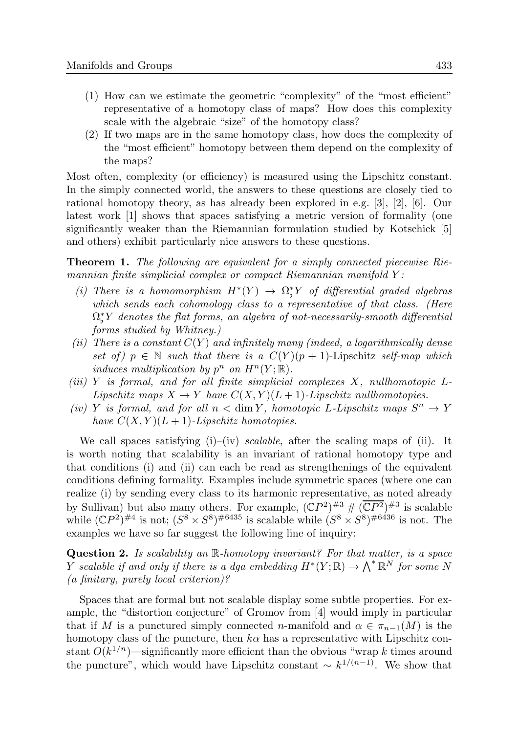- (1) How can we estimate the geometric "complexity" of the "most efficient" representative of a homotopy class of maps? How does this complexity scale with the algebraic "size" of the homotopy class?
- (2) If two maps are in the same homotopy class, how does the complexity of the "most efficient" homotopy between them depend on the complexity of the maps?

Most often, complexity (or efficiency) is measured using the Lipschitz constant. In the simply connected world, the answers to these questions are closely tied to rational homotopy theory, as has already been explored in e.g. [3], [2], [6]. Our latest work [1] shows that spaces satisfying a metric version of formality (one significantly weaker than the Riemannian formulation studied by Kotschick [5] and others) exhibit particularly nice answers to these questions.

**Theorem 1.** The following are equivalent for a simply connected piecewise Riemannian finite simplicial complex or compact Riemannian manifold  $Y$ :

- (i) There is a homomorphism  $H^*(Y) \to \Omega_b^*$  $\ _{b}^{\ast}Y$  of differential graded algebras which sends each cohomology class to a representative of that class. (Here  $\Omega_{\rm b}^*$  $\nu_{\flat}^{*}Y$  denotes the flat forms, an algebra of not-necessarily-smooth differential forms studied by Whitney.)
- (ii) There is a constant  $C(Y)$  and infinitely many (indeed, a logarithmically dense set of)  $p \in \mathbb{N}$  such that there is a  $C(Y)(p + 1)$ -Lipschitz self-map which induces multiplication by  $p^n$  on  $H^n(Y; \mathbb{R})$ .
- (iii) Y is formal, and for all finite simplicial complexes  $X$ , nullhomotopic  $L$ -Lipschitz maps  $X \to Y$  have  $C(X, Y)(L+1)$ -Lipschitz nullhomotopies.
- (iv) Y is formal, and for all  $n < \dim Y$ , homotopic L-Lipschitz maps  $S^n \to Y$ have  $C(X, Y)(L+1)$ -Lipschitz homotopies.

We call spaces satisfying  $(i)$ – $(iv)$  scalable, after the scaling maps of  $(ii)$ . It is worth noting that scalability is an invariant of rational homotopy type and that conditions (i) and (ii) can each be read as strengthenings of the equivalent conditions defining formality. Examples include symmetric spaces (where one can realize (i) by sending every class to its harmonic representative, as noted already by Sullivan) but also many others. For example,  $(\mathbb{C}P^2)^{\#3} \# (\overline{\mathbb{C}P^2})^{\#3}$  is scalable while  $(\mathbb{C}P^2)^{\#4}$  is not;  $(S^8 \times S^8)^{\#6435}$  is scalable while  $(S^8 \times S^8)^{\#6436}$  is not. The examples we have so far suggest the following line of inquiry:

Question 2. Is scalability an R-homotopy invariant? For that matter, is a space Y scalable if and only if there is a dga embedding  $H^*(Y; \mathbb{R}) \to \bigwedge^* \mathbb{R}^N$  for some N (a finitary, purely local criterion)?

Spaces that are formal but not scalable display some subtle properties. For example, the "distortion conjecture" of Gromov from [4] would imply in particular that if M is a punctured simply connected n-manifold and  $\alpha \in \pi_{n-1}(M)$  is the homotopy class of the puncture, then  $k\alpha$  has a representative with Lipschitz constant  $O(k^{1/n})$ —significantly more efficient than the obvious "wrap k times around the puncture", which would have Lipschitz constant  $\sim k^{1/(n-1)}$ . We show that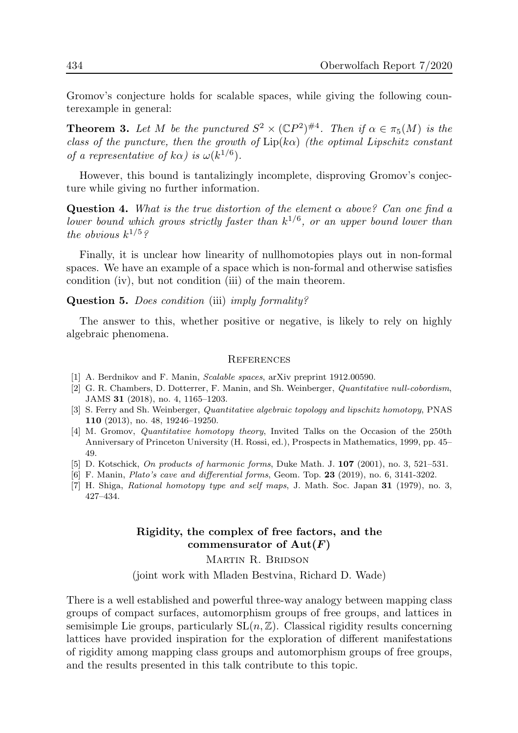Gromov's conjecture holds for scalable spaces, while giving the following counterexample in general:

**Theorem 3.** Let M be the punctured  $S^2 \times (\mathbb{C}P^2)^{\#4}$ . Then if  $\alpha \in \pi_5(M)$  is the class of the puncture, then the growth of  $Lip(k\alpha)$  (the optimal Lipschitz constant of a representative of  $k\alpha$ ) is  $\omega(k^{1/6})$ .

However, this bound is tantalizingly incomplete, disproving Gromov's conjecture while giving no further information.

**Question 4.** What is the true distortion of the element  $\alpha$  above? Can one find a lower bound which grows strictly faster than  $k^{1/6}$ , or an upper bound lower than the obvious  $k^{1/5}$ ?

Finally, it is unclear how linearity of nullhomotopies plays out in non-formal spaces. We have an example of a space which is non-formal and otherwise satisfies condition (iv), but not condition (iii) of the main theorem.

Question 5. *Does condition* (iii) *imply formality?* 

The answer to this, whether positive or negative, is likely to rely on highly algebraic phenomena.

#### **REFERENCES**

- [1] A. Berdnikov and F. Manin, Scalable spaces, arXiv preprint 1912.00590.
- [2] G. R. Chambers, D. Dotterrer, F. Manin, and Sh. Weinberger, Quantitative null-cobordism, JAMS 31 (2018), no. 4, 1165–1203.
- [3] S. Ferry and Sh. Weinberger, Quantitative algebraic topology and lipschitz homotopy, PNAS 110 (2013), no. 48, 19246–19250.
- [4] M. Gromov, Quantitative homotopy theory, Invited Talks on the Occasion of the 250th Anniversary of Princeton University (H. Rossi, ed.), Prospects in Mathematics, 1999, pp. 45– 49.
- [5] D. Kotschick, On products of harmonic forms, Duke Math. J. **107** (2001), no. 3, 521–531.
- [6] F. Manin, *Plato's cave and differential forms*, Geom. Top. **23** (2019), no. 6, 3141-3202.
- [7] H. Shiga, Rational homotopy type and self maps, J. Math. Soc. Japan 31 (1979), no. 3, 427–434.

### Rigidity, the complex of free factors, and the commensurator of  $Aut(F)$

MARTIN R. BRIDSON (joint work with Mladen Bestvina, Richard D. Wade)

There is a well established and powerful three-way analogy between mapping class groups of compact surfaces, automorphism groups of free groups, and lattices in semisimple Lie groups, particularly  $SL(n, \mathbb{Z})$ . Classical rigidity results concerning lattices have provided inspiration for the exploration of different manifestations of rigidity among mapping class groups and automorphism groups of free groups, and the results presented in this talk contribute to this topic.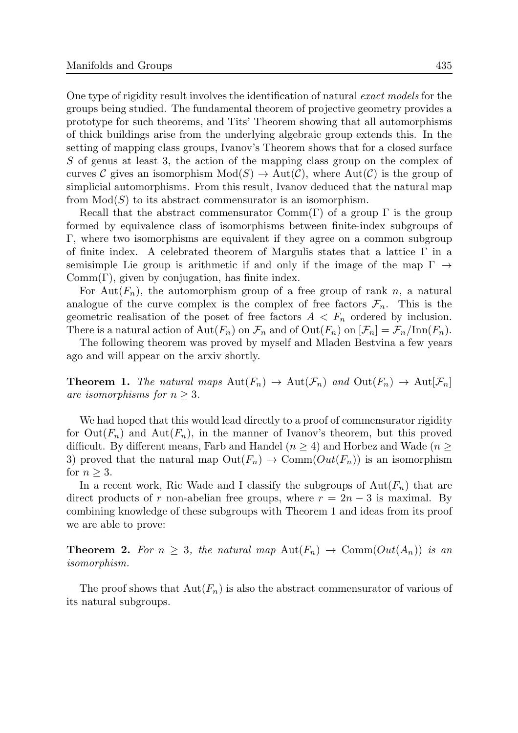One type of rigidity result involves the identification of natural exact models for the groups being studied. The fundamental theorem of projective geometry provides a prototype for such theorems, and Tits' Theorem showing that all automorphisms of thick buildings arise from the underlying algebraic group extends this. In the setting of mapping class groups, Ivanov's Theorem shows that for a closed surface S of genus at least 3, the action of the mapping class group on the complex of curves C gives an isomorphism  $Mod(S) \to Aut(\mathcal{C})$ , where  $Aut(\mathcal{C})$  is the group of simplicial automorphisms. From this result, Ivanov deduced that the natural map from  $Mod(S)$  to its abstract commensurator is an isomorphism.

Recall that the abstract commensurator  $Comm(\Gamma)$  of a group  $\Gamma$  is the group formed by equivalence class of isomorphisms between finite-index subgroups of Γ, where two isomorphisms are equivalent if they agree on a common subgroup of finite index. A celebrated theorem of Margulis states that a lattice  $\Gamma$  in a semisimple Lie group is arithmetic if and only if the image of the map  $\Gamma \rightarrow$  $Comm(\Gamma)$ , given by conjugation, has finite index.

For Aut $(F_n)$ , the automorphism group of a free group of rank n, a natural analogue of the curve complex is the complex of free factors  $\mathcal{F}_n$ . This is the geometric realisation of the poset of free factors  $A < F_n$  ordered by inclusion. There is a natural action of  $\text{Aut}(F_n)$  on  $\mathcal{F}_n$  and of  $\text{Out}(F_n)$  on  $[\mathcal{F}_n] = \mathcal{F}_n/\text{Inn}(F_n)$ .

The following theorem was proved by myself and Mladen Bestvina a few years ago and will appear on the arxiv shortly.

**Theorem 1.** The natural maps  $\text{Aut}(F_n) \to \text{Aut}(\mathcal{F}_n)$  and  $\text{Out}(F_n) \to \text{Aut}(\mathcal{F}_n)$ are isomorphisms for  $n > 3$ .

We had hoped that this would lead directly to a proof of commensurator rigidity for  $Out(F_n)$  and  $Aut(F_n)$ , in the manner of Ivanov's theorem, but this proved difficult. By different means, Farb and Handel ( $n \geq 4$ ) and Horbez and Wade ( $n \geq 4$ ) 3) proved that the natural map  $\text{Out}(F_n) \to \text{Comm}(Out(F_n))$  is an isomorphism for  $n > 3$ .

In a recent work, Ric Wade and I classify the subgroups of  $Aut(F_n)$  that are direct products of r non-abelian free groups, where  $r = 2n - 3$  is maximal. By combining knowledge of these subgroups with Theorem 1 and ideas from its proof we are able to prove:

**Theorem 2.** For  $n \geq 3$ , the natural map  $\text{Aut}(F_n) \to \text{Comm}(Out(A_n))$  is an isomorphism.

The proof shows that  $Aut(F_n)$  is also the abstract commensurator of various of its natural subgroups.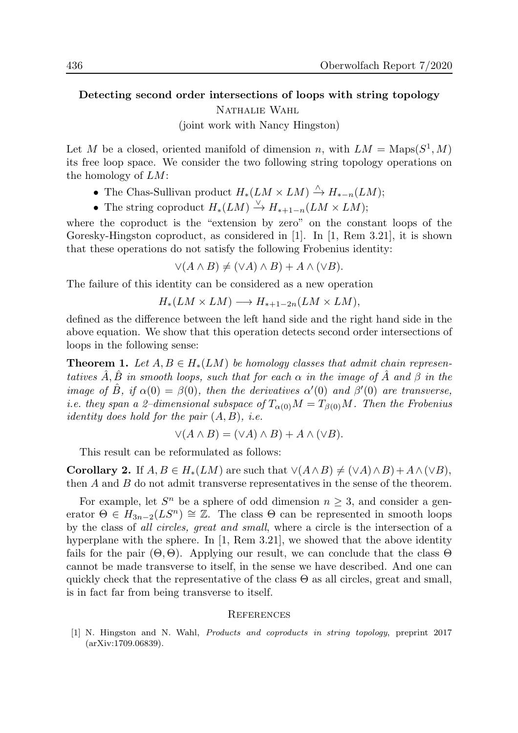# Detecting second order intersections of loops with string topology Nathalie Wahl

(joint work with Nancy Hingston)

Let M be a closed, oriented manifold of dimension n, with  $LM = \text{Maps}(S^1, M)$ its free loop space. We consider the two following string topology operations on the homology of LM:

- The Chas-Sullivan product  $H_*(LM \times LM) \stackrel{\wedge}{\to} H_{*-n}(LM);$
- The string coproduct  $H_*(LM) \overset{\vee}{\to} H_{*+1-n}(LM \times LM);$

where the coproduct is the "extension by zero" on the constant loops of the Goresky-Hingston coproduct, as considered in [1]. In [1, Rem 3.21], it is shown that these operations do not satisfy the following Frobenius identity:

 $\vee (A \wedge B) \neq (\vee A) \wedge B) + A \wedge (\vee B).$ 

The failure of this identity can be considered as a new operation

$$
H_*(LM \times LM) \longrightarrow H_{*+1-2n}(LM \times LM),
$$

defined as the difference between the left hand side and the right hand side in the above equation. We show that this operation detects second order intersections of loops in the following sense:

**Theorem 1.** Let  $A, B \in H_*(LM)$  be homology classes that admit chain representatives  $\hat{A}, \hat{B}$  in smooth loops, such that for each  $\alpha$  in the image of  $\hat{A}$  and  $\beta$  in the image of  $\hat{B}$ , if  $\alpha(0) = \beta(0)$ , then the derivatives  $\alpha'(0)$  and  $\beta'(0)$  are transverse, i.e. they span a 2–dimensional subspace of  $T_{\alpha(0)}M = T_{\beta(0)}M$ . Then the Frobenius *identity does hold for the pair*  $(A, B)$ , *i.e.* 

$$
\vee (A \wedge B) = (\vee A) \wedge B) + A \wedge (\vee B).
$$

This result can be reformulated as follows:

**Corollary 2.** If  $A, B \in H_*(LM)$  are such that  $\vee(A \wedge B) \neq (\vee A) \wedge B) + A \wedge (\vee B)$ , then  $A$  and  $B$  do not admit transverse representatives in the sense of the theorem.

For example, let  $S<sup>n</sup>$  be a sphere of odd dimension  $n \geq 3$ , and consider a generator  $\Theta \in H_{3n-2}(LS^n) \cong \mathbb{Z}$ . The class  $\Theta$  can be represented in smooth loops by the class of all circles, great and small, where a circle is the intersection of a hyperplane with the sphere. In [1, Rem 3.21], we showed that the above identity fails for the pair  $(\Theta, \Theta)$ . Applying our result, we can conclude that the class  $\Theta$ cannot be made transverse to itself, in the sense we have described. And one can quickly check that the representative of the class  $\Theta$  as all circles, great and small, is in fact far from being transverse to itself.

#### **REFERENCES**

[1] N. Hingston and N. Wahl, Products and coproducts in string topology, preprint 2017 (arXiv:1709.06839).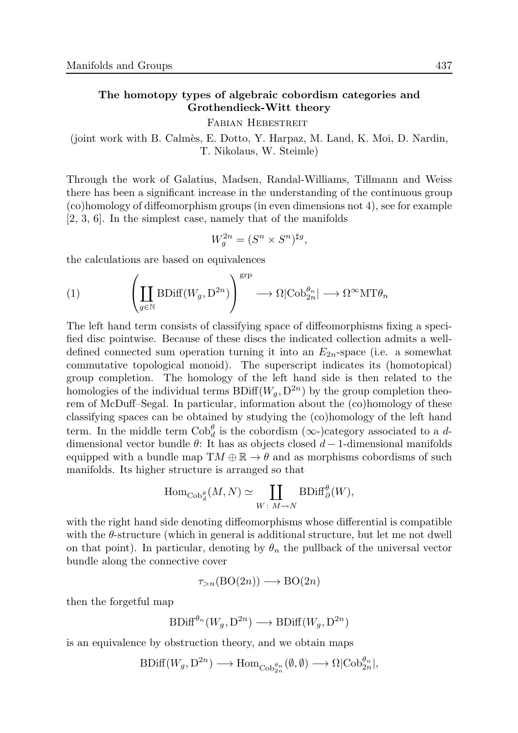### The homotopy types of algebraic cobordism categories and Grothendieck-Witt theory

Fabian Hebestreit

(joint work with B. Calm`es, E. Dotto, Y. Harpaz, M. Land, K. Moi, D. Nardin, T. Nikolaus, W. Steimle)

Through the work of Galatius, Madsen, Randal-Williams, Tillmann and Weiss there has been a significant increase in the understanding of the continuous group (co)homology of diffeomorphism groups (in even dimensions not 4), see for example [2, 3, 6]. In the simplest case, namely that of the manifolds

$$
W_g^{2n} = (S^n \times S^n)^{\sharp g},
$$

the calculations are based on equivalences

(1) 
$$
\left(\coprod_{g\in\mathbb{N}}\mathrm{BDiff}(W_g,\mathrm{D}^{2n})\right)^{\mathrm{grp}}\longrightarrow \Omega|\mathrm{Cob}_{2n}^{\theta_n}|\longrightarrow \Omega^{\infty}\mathrm{MT}\theta_n
$$

The left hand term consists of classifying space of diffeomorphisms fixing a specified disc pointwise. Because of these discs the indicated collection admits a welldefined connected sum operation turning it into an  $E_{2n}$ -space (i.e. a somewhat commutative topological monoid). The superscript indicates its (homotopical) group completion. The homology of the left hand side is then related to the homologies of the individual terms  $BDiff(W_q, D^{2n})$  by the group completion theorem of McDuff–Segal. In particular, information about the (co)homology of these classifying spaces can be obtained by studying the (co)homology of the left hand term. In the middle term  $Cob_d^{\theta}$  is the cobordism ( $\infty$ -)category associated to a ddimensional vector bundle  $\theta$ : It has as objects closed  $d-1$ -dimensional manifolds equipped with a bundle map  $TM \oplus \mathbb{R} \to \theta$  and as morphisms cobordisms of such manifolds. Its higher structure is arranged so that

$$
\operatorname{Hom}_{\operatorname{Cob}_d^{\theta}}(M, N) \simeq \coprod_{W \colon M \rightsquigarrow N} \operatorname{BDiff}_\partial^{\theta}(W),
$$

with the right hand side denoting diffeomorphisms whose differential is compatible with the  $\theta$ -structure (which in general is additional structure, but let me not dwell on that point). In particular, denoting by  $\theta_n$  the pullback of the universal vector bundle along the connective cover

$$
\tau_{>n}(\text{BO}(2n)) \longrightarrow \text{BO}(2n)
$$

then the forgetful map

$$
\text{BDiff}^{\theta_n}(W_g, \mathcal{D}^{2n}) \longrightarrow \text{BDiff}(W_g, \mathcal{D}^{2n})
$$

is an equivalence by obstruction theory, and we obtain maps

 $\text{BDiff}(W_g, \mathcal{D}^{2n}) \longrightarrow \text{Hom}_{\text{Cob}_{2n}^{\theta_n}}(\emptyset, \emptyset) \longrightarrow \Omega|\text{Cob}_{2n}^{\theta_n}|,$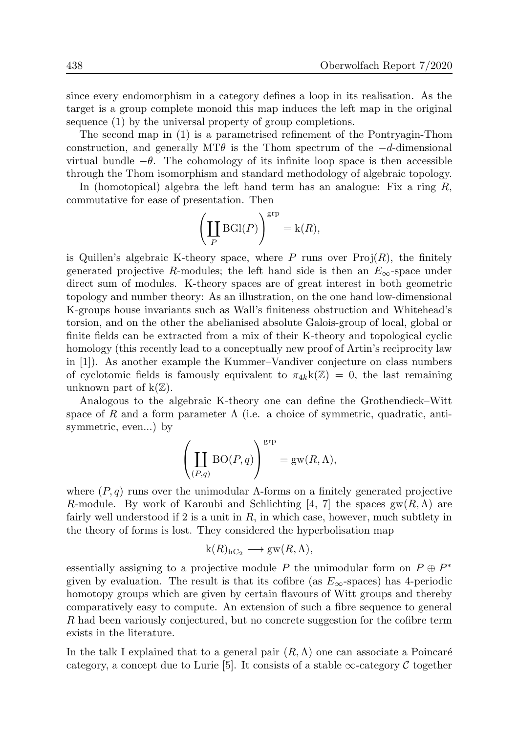since every endomorphism in a category defines a loop in its realisation. As the target is a group complete monoid this map induces the left map in the original sequence (1) by the universal property of group completions.

The second map in (1) is a parametrised refinement of the Pontryagin-Thom construction, and generally MT $\theta$  is the Thom spectrum of the  $-d$ -dimensional virtual bundle  $-\theta$ . The cohomology of its infinite loop space is then accessible through the Thom isomorphism and standard methodology of algebraic topology.

In (homotopical) algebra the left hand term has an analogue: Fix a ring  $R$ , commutative for ease of presentation. Then

$$
\left(\coprod_P \mathrm{BGl}(P)\right)^{\mathrm{grp}}=\mathbf{k}(R),
$$

is Quillen's algebraic K-theory space, where P runs over  $Proj(R)$ , the finitely generated projective R-modules; the left hand side is then an  $E_{\infty}$ -space under direct sum of modules. K-theory spaces are of great interest in both geometric topology and number theory: As an illustration, on the one hand low-dimensional K-groups house invariants such as Wall's finiteness obstruction and Whitehead's torsion, and on the other the abelianised absolute Galois-group of local, global or finite fields can be extracted from a mix of their K-theory and topological cyclic homology (this recently lead to a conceptually new proof of Artin's reciprocity law in [1]). As another example the Kummer–Vandiver conjecture on class numbers of cyclotomic fields is famously equivalent to  $\pi_{4k}k(\mathbb{Z}) = 0$ , the last remaining unknown part of  $k(\mathbb{Z})$ .

Analogous to the algebraic K-theory one can define the Grothendieck–Witt space of R and a form parameter  $\Lambda$  (i.e. a choice of symmetric, quadratic, antisymmetric, even...) by

$$
\left(\coprod_{(P,q)}\mathrm{BO}(P,q)\right)^{\mathrm{grp}}=\mathrm{gw}(R,\Lambda),
$$

where  $(P, q)$  runs over the unimodular  $\Lambda$ -forms on a finitely generated projective R-module. By work of Karoubi and Schlichting [4, 7] the spaces  $\text{gw}(R,\Lambda)$  are fairly well understood if 2 is a unit in  $R$ , in which case, however, much subtlety in the theory of forms is lost. They considered the hyperbolisation map

$$
k(R)_{hC_2} \longrightarrow gw(R,\Lambda),
$$

essentially assigning to a projective module P the unimodular form on  $P \oplus P^*$ given by evaluation. The result is that its cofibre (as  $E_{\infty}$ -spaces) has 4-periodic homotopy groups which are given by certain flavours of Witt groups and thereby comparatively easy to compute. An extension of such a fibre sequence to general R had been variously conjectured, but no concrete suggestion for the cofibre term exists in the literature.

In the talk I explained that to a general pair  $(R, \Lambda)$  one can associate a Poincaré category, a concept due to Lurie [5]. It consists of a stable  $\infty$ -category C together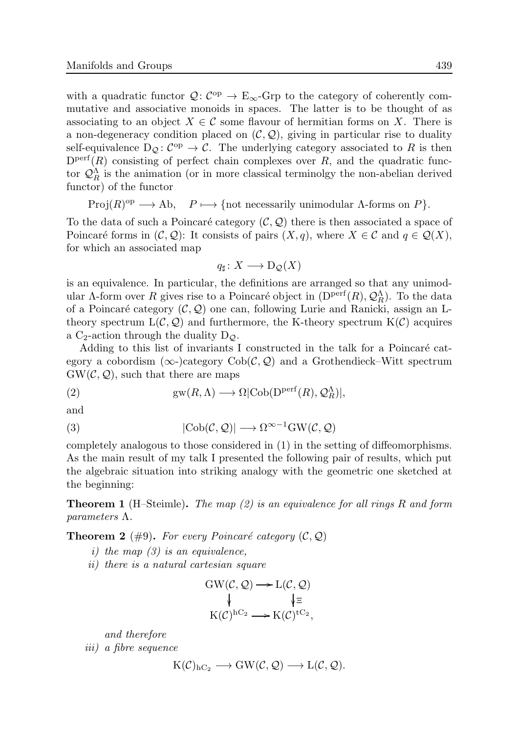with a quadratic functor  $\mathcal{Q}: C^{op} \to \mathcal{E}_{\infty}$ -Grp to the category of coherently commutative and associative monoids in spaces. The latter is to be thought of as associating to an object  $X \in \mathcal{C}$  some flavour of hermitian forms on X. There is a non-degeneracy condition placed on  $(C, Q)$ , giving in particular rise to duality self-equivalence  $D_{\mathcal{Q}}: C^{op} \to \mathcal{C}$ . The underlying category associated to R is then  $D<sup>perf</sup>(R)$  consisting of perfect chain complexes over R, and the quadratic functor  $\mathcal{Q}_R^{\Lambda}$  is the animation (or in more classical terminolgy the non-abelian derived functor) of the functor

 $Proj(R)^{op} \longrightarrow Ab$ ,  $P \longmapsto \{\text{not necessarily unimodular }\Lambda\text{-forms on }P\}.$ 

To the data of such a Poincaré category  $(C, \mathcal{Q})$  there is then associated a space of Poincaré forms in  $(C, Q)$ : It consists of pairs  $(X, q)$ , where  $X \in \mathcal{C}$  and  $q \in \mathcal{Q}(X)$ , for which an associated map

$$
q_{\sharp} \colon X \longrightarrow D_{\mathcal{Q}}(X)
$$

is an equivalence. In particular, the definitions are arranged so that any unimodular  $\Lambda$ -form over R gives rise to a Poincaré object in  $(D^{\text{perf}}(R), \mathcal{Q}_R^{\Lambda})$ . To the data of a Poincaré category  $(C, Q)$  one can, following Lurie and Ranicki, assign an Ltheory spectrum  $L(\mathcal{C}, \mathcal{Q})$  and furthermore, the K-theory spectrum  $K(\mathcal{C})$  acquires a C<sub>2</sub>-action through the duality  $D_{\mathcal{Q}}$ .

Adding to this list of invariants I constructed in the talk for a Poincaré category a cobordism ( $\infty$ -)category Cob( $\mathcal{C}, \mathcal{Q}$ ) and a Grothendieck–Witt spectrum  $GW(\mathcal{C}, \mathcal{Q})$ , such that there are maps

(2) 
$$
gw(R,\Lambda) \longrightarrow \Omega|\text{Cob}(D^{\text{perf}}(R),\mathcal{Q}_R^{\Lambda})|,
$$

and

(3) 
$$
|\text{Cob}(\mathcal{C}, \mathcal{Q})| \longrightarrow \Omega^{\infty - 1} \text{GW}(\mathcal{C}, \mathcal{Q})
$$

completely analogous to those considered in (1) in the setting of diffeomorphisms. As the main result of my talk I presented the following pair of results, which put the algebraic situation into striking analogy with the geometric one sketched at the beginning:

**Theorem 1** (H–Steimle). The map  $(2)$  is an equivalence for all rings R and form parameters Λ.

**Theorem 2** (#9). For every Poincaré category  $(C, Q)$ 

- i) the map  $(3)$  is an equivalence,
- ii) there is a natural cartesian square

$$
GW(\mathcal{C}, \mathcal{Q}) \longrightarrow L(\mathcal{C}, \mathcal{Q})
$$
  
\$\downarrow\$ E  

$$
K(\mathcal{C})^{hC_2} \longrightarrow K(\mathcal{C})^{tC_2},
$$

and therefore

iii) a fibre sequence

$$
K(\mathcal{C})_{hC_2} \longrightarrow GW(\mathcal{C}, \mathcal{Q}) \longrightarrow L(\mathcal{C}, \mathcal{Q}).
$$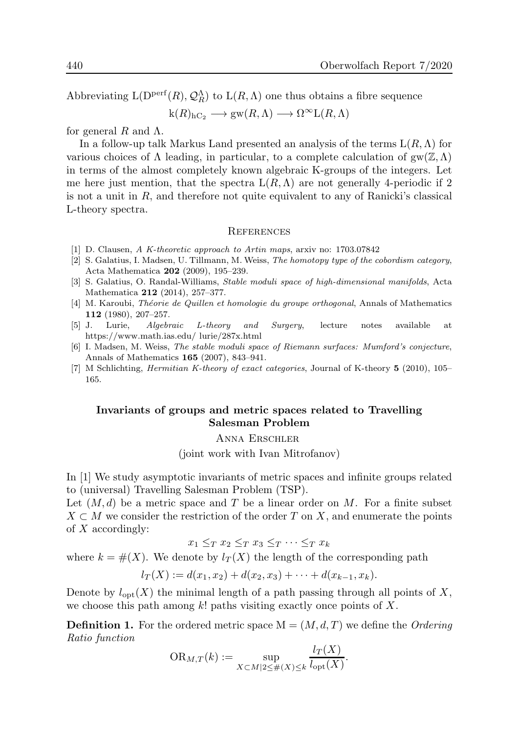Abbreviating  $L(D^{perf}(R), \mathcal{Q}_{R}^{\Lambda})$  to  $L(R, \Lambda)$  one thus obtains a fibre sequence

 $k(R)_{hC_2} \longrightarrow gw(R,\Lambda) \longrightarrow \Omega^{\infty}L(R,\Lambda)$ 

for general R and  $\Lambda$ .

In a follow-up talk Markus Land presented an analysis of the terms  $L(R,\Lambda)$  for various choices of  $\Lambda$  leading, in particular, to a complete calculation of  $\text{gw}(\mathbb{Z},\Lambda)$ in terms of the almost completely known algebraic K-groups of the integers. Let me here just mention, that the spectra  $L(R,\Lambda)$  are not generally 4-periodic if 2 is not a unit in  $R$ , and therefore not quite equivalent to any of Ranicki's classical L-theory spectra.

#### **REFERENCES**

- [1] D. Clausen, A K-theoretic approach to Artin maps, arxiv no: 1703.07842
- [2] S. Galatius, I. Madsen, U. Tillmann, M. Weiss, The homotopy type of the cobordism category, Acta Mathematica 202 (2009), 195–239.
- [3] S. Galatius, O. Randal-Williams, Stable moduli space of high-dimensional manifolds, Acta Mathematica 212 (2014), 257–377.
- [4] M. Karoubi, *Théorie de Quillen et homologie du groupe orthogonal*, Annals of Mathematics 112 (1980), 207–257.
- [5] J. Lurie, Algebraic L-theory and Surgery, lecture notes available at https://www.math.ias.edu/ lurie/287x.html
- [6] I. Madsen, M. Weiss, The stable moduli space of Riemann surfaces: Mumford's conjecture, Annals of Mathematics 165 (2007), 843–941.
- [7] M Schlichting, *Hermitian K-theory of exact categories*, Journal of K-theory 5 (2010), 105– 165.

### Invariants of groups and metric spaces related to Travelling Salesman Problem

Anna Erschler

(joint work with Ivan Mitrofanov)

In [1] We study asymptotic invariants of metric spaces and infinite groups related to (universal) Travelling Salesman Problem (TSP).

Let  $(M, d)$  be a metric space and T be a linear order on M. For a finite subset  $X \subset M$  we consider the restriction of the order T on X, and enumerate the points of  $X$  accordingly:

 $x_1 \leq_T x_2 \leq_T x_3 \leq_T \cdots \leq_T x_k$ 

where  $k = \#(X)$ . We denote by  $l_T(X)$  the length of the corresponding path

$$
l_T(X) := d(x_1, x_2) + d(x_2, x_3) + \cdots + d(x_{k-1}, x_k).
$$

Denote by  $l_{\text{opt}}(X)$  the minimal length of a path passing through all points of X, we choose this path among  $k!$  paths visiting exactly once points of X.

**Definition 1.** For the ordered metric space  $M = (M, d, T)$  we define the *Ordering* Ratio function

$$
\mathrm{OR}_{M,T}(k) := \sup_{X \subset M \mid 2 \le \#(X) \le k} \frac{l_T(X)}{l_{\mathrm{opt}}(X)}.
$$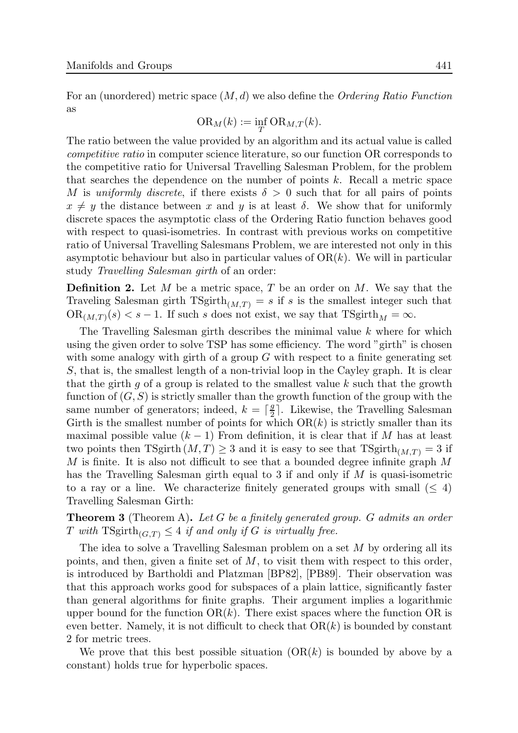For an (unordered) metric space  $(M, d)$  we also define the *Ordering Ratio Function* as

$$
\mathrm{OR}_M(k) := \inf_T \mathrm{OR}_{M,T}(k).
$$

The ratio between the value provided by an algorithm and its actual value is called competitive ratio in computer science literature, so our function OR corresponds to the competitive ratio for Universal Travelling Salesman Problem, for the problem that searches the dependence on the number of points  $k$ . Recall a metric space M is uniformly discrete, if there exists  $\delta > 0$  such that for all pairs of points  $x \neq y$  the distance between x and y is at least  $\delta$ . We show that for uniformly discrete spaces the asymptotic class of the Ordering Ratio function behaves good with respect to quasi-isometries. In contrast with previous works on competitive ratio of Universal Travelling Salesmans Problem, we are interested not only in this asymptotic behaviour but also in particular values of  $OR(k)$ . We will in particular study Travelling Salesman girth of an order:

**Definition 2.** Let  $M$  be a metric space,  $T$  be an order on  $M$ . We say that the Traveling Salesman girth  $TSgirth_{(M,T)} = s$  if s is the smallest integer such that  $OR_{(M,T)}(s) < s - 1$ . If such s does not exist, we say that  $T\text{Sgirth}_M = \infty$ .

The Travelling Salesman girth describes the minimal value k where for which using the given order to solve TSP has some efficiency. The word "girth" is chosen with some analogy with girth of a group  $G$  with respect to a finite generating set S, that is, the smallest length of a non-trivial loop in the Cayley graph. It is clear that the girth  $g$  of a group is related to the smallest value  $k$  such that the growth function of  $(G, S)$  is strictly smaller than the growth function of the group with the same number of generators; indeed,  $k = \lceil \frac{g}{2} \rceil$  $\frac{g}{2}$ . Likewise, the Travelling Salesman Girth is the smallest number of points for which  $OR(k)$  is strictly smaller than its maximal possible value  $(k-1)$  From definition, it is clear that if M has at least two points then TSgirth  $(M, T) \geq 3$  and it is easy to see that TSgirth $_{(M,T)} = 3$  if M is finite. It is also not difficult to see that a bounded degree infinite graph  $M$ has the Travelling Salesman girth equal to 3 if and only if M is quasi-isometric to a ray or a line. We characterize finitely generated groups with small  $(\leq 4)$ Travelling Salesman Girth:

**Theorem 3** (Theorem A). Let G be a finitely generated group. G admits an order T with  $\text{TSgirth}_{(G,T)} \leq 4$  if and only if G is virtually free.

The idea to solve a Travelling Salesman problem on a set  $M$  by ordering all its points, and then, given a finite set of  $M$ , to visit them with respect to this order, is introduced by Bartholdi and Platzman [BP82], [PB89]. Their observation was that this approach works good for subspaces of a plain lattice, significantly faster than general algorithms for finite graphs. Their argument implies a logarithmic upper bound for the function  $OR(k)$ . There exist spaces where the function OR is even better. Namely, it is not difficult to check that  $OR(k)$  is bounded by constant 2 for metric trees.

We prove that this best possible situation  $(OR(k))$  is bounded by above by a constant) holds true for hyperbolic spaces.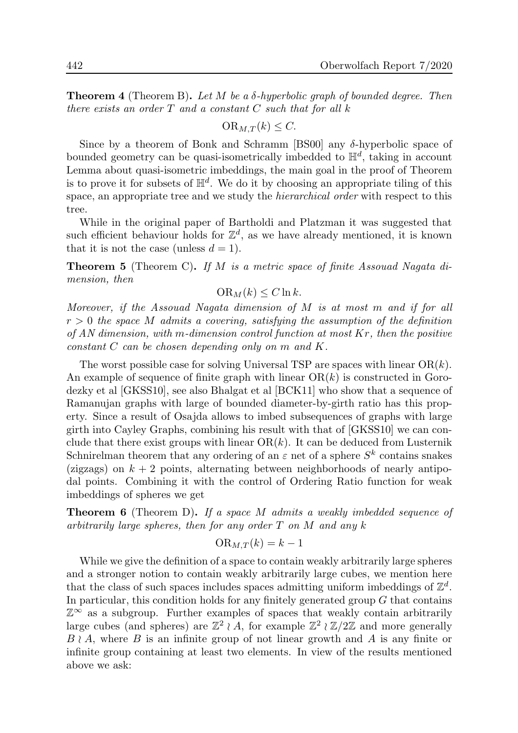**Theorem 4** (Theorem B). Let M be a  $\delta$ -hyperbolic graph of bounded degree. Then there exists an order  $T$  and a constant  $C$  such that for all  $k$ 

$$
\mathrm{OR}_{M,T}(k) \leq C.
$$

Since by a theorem of Bonk and Schramm [BS00] any  $\delta$ -hyperbolic space of bounded geometry can be quasi-isometrically imbedded to  $\mathbb{H}^d$ , taking in account Lemma about quasi-isometric imbeddings, the main goal in the proof of Theorem is to prove it for subsets of  $\mathbb{H}^d$ . We do it by choosing an appropriate tiling of this space, an appropriate tree and we study the hierarchical order with respect to this tree.

While in the original paper of Bartholdi and Platzman it was suggested that such efficient behaviour holds for  $\mathbb{Z}^d$ , as we have already mentioned, it is known that it is not the case (unless  $d = 1$ ).

**Theorem 5** (Theorem C). If M is a metric space of finite Assouad Nagata dimension, then

$$
\mathrm{OR}_M(k) \le C \ln k.
$$

Moreover, if the Assouad Nagata dimension of M is at most m and if for all  $r > 0$  the space M admits a covering, satisfying the assumption of the definition of AN dimension, with m-dimension control function at most  $Kr$ , then the positive constant C can be chosen depending only on m and K.

The worst possible case for solving Universal TSP are spaces with linear  $OR(k)$ . An example of sequence of finite graph with linear  $OR(k)$  is constructed in Gorodezky et al [GKSS10], see also Bhalgat et al [BCK11] who show that a sequence of Ramanujan graphs with large of bounded diameter-by-girth ratio has this property. Since a result of Osajda allows to imbed subsequences of graphs with large girth into Cayley Graphs, combining his result with that of [GKSS10] we can conclude that there exist groups with linear  $OR(k)$ . It can be deduced from Lusternik Schnirelman theorem that any ordering of an  $\varepsilon$  net of a sphere  $S^k$  contains snakes (zigzags) on  $k + 2$  points, alternating between neighborhoods of nearly antipodal points. Combining it with the control of Ordering Ratio function for weak imbeddings of spheres we get

Theorem 6 (Theorem D). If a space M admits a weakly imbedded sequence of arbitrarily large spheres, then for any order  $T$  on  $M$  and any  $k$ 

$$
\mathrm{OR}_{M,T}(k) = k - 1
$$

While we give the definition of a space to contain weakly arbitrarily large spheres and a stronger notion to contain weakly arbitrarily large cubes, we mention here that the class of such spaces includes spaces admitting uniform imbeddings of  $\mathbb{Z}^d$ . In particular, this condition holds for any finitely generated group  $G$  that contains  $\mathbb{Z}^{\infty}$  as a subgroup. Further examples of spaces that weakly contain arbitrarily large cubes (and spheres) are  $\mathbb{Z}^2 \wr A$ , for example  $\mathbb{Z}^2 \wr \mathbb{Z}/2\mathbb{Z}$  and more generally  $B \nmid A$ , where B is an infinite group of not linear growth and A is any finite or infinite group containing at least two elements. In view of the results mentioned above we ask: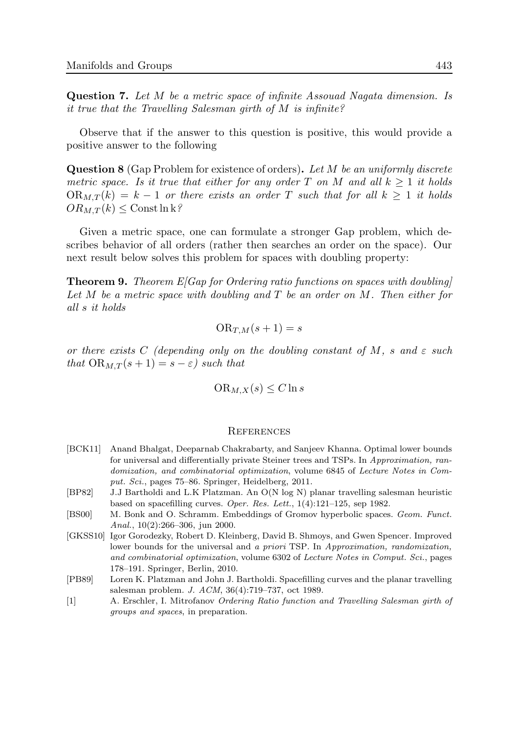Question 7. Let M be a metric space of infinite Assouad Nagata dimension. Is it true that the Travelling Salesman girth of M is infinite?

Observe that if the answer to this question is positive, this would provide a positive answer to the following

Question 8 (Gap Problem for existence of orders). Let M be an uniformly discrete metric space. Is it true that either for any order T on M and all  $k > 1$  it holds  $OR_{M,T}(k) = k - 1$  or there exists an order T such that for all  $k \geq 1$  it holds  $OR_{M,T}(k) \leq$  Const ln k?

Given a metric space, one can formulate a stronger Gap problem, which describes behavior of all orders (rather then searches an order on the space). Our next result below solves this problem for spaces with doubling property:

**Theorem 9.** Theorem  $E[Gap$  for Ordering ratio functions on spaces with doubling Let M be a metric space with doubling and  $T$  be an order on  $M$ . Then either for all s it holds

$$
\mathrm{OR}_{T,M}(s+1) = s
$$

or there exists C (depending only on the doubling constant of M, s and  $\varepsilon$  such that  $OR_{M,T}(s+1) = s - \varepsilon$ ) such that

$$
\mathrm{OR}_{M,X}(s) \le C \ln s
$$

#### **REFERENCES**

- [BCK11] Anand Bhalgat, Deeparnab Chakrabarty, and Sanjeev Khanna. Optimal lower bounds for universal and differentially private Steiner trees and TSPs. In Approximation, randomization, and combinatorial optimization, volume 6845 of Lecture Notes in Comput. Sci., pages 75–86. Springer, Heidelberg, 2011.
- [BP82] J.J Bartholdi and L.K Platzman. An O(N log N) planar travelling salesman heuristic based on spacefilling curves. Oper. Res. Lett., 1(4):121–125, sep 1982.
- [BS00] M. Bonk and O. Schramm. Embeddings of Gromov hyperbolic spaces. Geom. Funct. Anal., 10(2):266–306, jun 2000.
- [GKSS10] Igor Gorodezky, Robert D. Kleinberg, David B. Shmoys, and Gwen Spencer. Improved lower bounds for the universal and a priori TSP. In Approximation, randomization, and combinatorial optimization, volume 6302 of Lecture Notes in Comput. Sci., pages 178–191. Springer, Berlin, 2010.
- [PB89] Loren K. Platzman and John J. Bartholdi. Spacefilling curves and the planar travelling salesman problem. J. ACM, 36(4):719–737, oct 1989.
- [1] A. Erschler, I. Mitrofanov Ordering Ratio function and Travelling Salesman girth of groups and spaces, in preparation.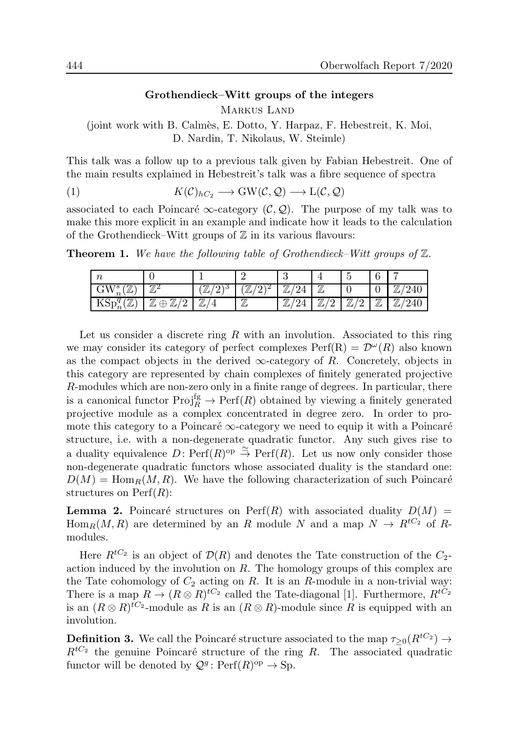### Grothendieck–Witt groups of the integers

Markus Land

(joint work with B. Calm`es, E. Dotto, Y. Harpaz, F. Hebestreit, K. Moi, D. Nardin, T. Nikolaus, W. Steimle)

This talk was a follow up to a previous talk given by Fabian Hebestreit. One of the main results explained in Hebestreit's talk was a fibre sequence of spectra

(1) 
$$
K(\mathcal{C})_{hC_2} \longrightarrow \text{GW}(\mathcal{C}, \mathcal{Q}) \longrightarrow \text{L}(\mathcal{C}, \mathcal{Q})
$$

associated to each Poincaré  $\infty$ -category (C, Q). The purpose of my talk was to make this more explicit in an example and indicate how it leads to the calculation of the Grothendieck–Witt groups of  $\mathbb Z$  in its various flavours:

**Theorem 1.** We have the following table of Grothendieck–Witt groups of  $\mathbb{Z}$ .

| m                                                      |                                                      |                       |                   |    |                      |                           |                    | - |
|--------------------------------------------------------|------------------------------------------------------|-----------------------|-------------------|----|----------------------|---------------------------|--------------------|---|
| $\mathbf{M}^{\sigma}$<br>G VV<br>╨<br>$\boldsymbol{n}$ | $\pi$<br>╜                                           | $\pi$<br>ر ۱<br>$\mu$ | $\pi$<br>، ا<br>╨ | 77 | $\mathcal{F}$        |                           | ◡                  |   |
| $\mathcal{L}$<br>$\mathsf{KSp}_{n\setminus\mathbb{Z}}$ | 77<br>$\mathcal{T}$<br>്റ<br>$\oplus$<br>╜<br>╨<br>∼ | 77                    | $\tau$<br>╨       | П. | $\mathcal{L}$<br>/ ∩ | $\tau$<br>$\sqrt{2}$<br>∸ | $\mathcal{T}$<br>╨ |   |

Let us consider a discrete ring  $R$  with an involution. Associated to this ring we may consider its category of perfect complexes  $\text{Perf}(R) = \mathcal{D}^{\omega}(R)$  also known as the compact objects in the derived  $\infty$ -category of R. Concretely, objects in this category are represented by chain complexes of finitely generated projective R-modules which are non-zero only in a finite range of degrees. In particular, there is a canonical functor  $\text{Proj}_R^{\text{fg}} \to \text{Perf}(R)$  obtained by viewing a finitely generated projective module as a complex concentrated in degree zero. In order to promote this category to a Poincaré  $\infty$ -category we need to equip it with a Poincaré structure, i.e. with a non-degenerate quadratic functor. Any such gives rise to a duality equivalence  $D: \operatorname{Perf}(R)^\text{op} \stackrel{\simeq}{\to} \operatorname{Perf}(R)$ . Let us now only consider those non-degenerate quadratic functors whose associated duality is the standard one:  $D(M) = \text{Hom}_{R}(M, R)$ . We have the following characterization of such Poincaré structures on  $\text{Perf}(R)$ :

**Lemma 2.** Poincaré structures on Perf(R) with associated duality  $D(M)$  =  $\text{Hom}_R(M, R)$  are determined by an R module N and a map  $N \to R^{tC_2}$  of Rmodules.

Here  $R^{tC_2}$  is an object of  $\mathcal{D}(R)$  and denotes the Tate construction of the  $C_2$ action induced by the involution on  $R$ . The homology groups of this complex are the Tate cohomology of  $C_2$  acting on R. It is an R-module in a non-trivial way: There is a map  $R \to (R \otimes R)^{tC_2}$  called the Tate-diagonal [1]. Furthermore,  $R^{tC_2}$ is an  $(R \otimes R)^{tC_2}$ -module as R is an  $(R \otimes R)$ -module since R is equipped with an involution.

**Definition 3.** We call the Poincaré structure associated to the map  $\tau_{\geq 0}(R^{tC_2}) \to$  $R^{tC_2}$  the genuine Poincaré structure of the ring R. The associated quadratic functor will be denoted by  $\mathcal{Q}^g$ : Perf $(R)^\text{op} \to \text{Sp}$ .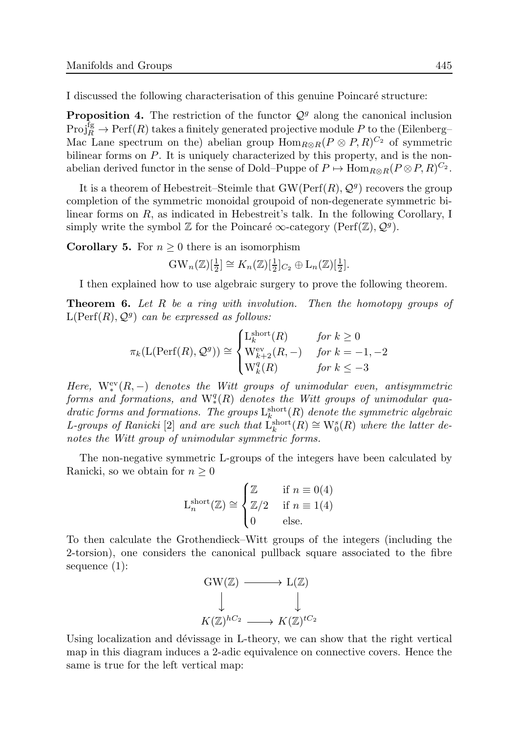I discussed the following characterisation of this genuine Poincaré structure:

**Proposition 4.** The restriction of the functor  $Q<sup>g</sup>$  along the canonical inclusion  $\text{Proj}_{R}^{\text{fg}} \to \text{Perf}(R)$  takes a finitely generated projective module P to the (Eilenberg– Mac Lane spectrum on the) abelian group  $\text{Hom}_{R\otimes R}(P\otimes P, R)^{C_2}$  of symmetric bilinear forms on P. It is uniquely characterized by this property, and is the nonabelian derived functor in the sense of Dold–Puppe of  $P \mapsto \text{Hom}_{R \otimes R}(P \otimes P, R)^{C_2}$ .

It is a theorem of Hebestreit–Steimle that  $GW(Perf(R), \mathcal{Q}^g)$  recovers the group completion of the symmetric monoidal groupoid of non-degenerate symmetric bilinear forms on R, as indicated in Hebestreit's talk. In the following Corollary, I simply write the symbol  $\mathbb Z$  for the Poincaré  $\infty$ -category (Perf $(\mathbb Z), \mathcal Q^g$ ).

**Corollary 5.** For  $n \geq 0$  there is an isomorphism

$$
\mathrm{GW}_n(\mathbb{Z})[\tfrac{1}{2}] \cong K_n(\mathbb{Z})[\tfrac{1}{2}]_{C_2} \oplus L_n(\mathbb{Z})[\tfrac{1}{2}].
$$

I then explained how to use algebraic surgery to prove the following theorem.

**Theorem 6.** Let R be a ring with involution. Then the homotopy groups of  $\mathrm{L}(\mathrm{Perf}(R),\mathcal{Q}^g)$  can be expressed as follows:

$$
\pi_k(\mathcal{L}(\text{Perf}(R), \mathcal{Q}^g)) \cong \begin{cases} \mathcal{L}_k^{\text{short}}(R) & \text{for } k \ge 0\\ \mathcal{W}_{k+2}^{\text{ev}}(R, -) & \text{for } k = -1, -2\\ \mathcal{W}_k^q(R) & \text{for } k \le -3 \end{cases}
$$

Here,  $W_*^{\text{ev}}(R,-)$  denotes the Witt groups of unimodular even, antisymmetric  $forms\ \ and\ formations,\ \ and\ \ {\rm W\{}^q_*(R)\ \ denotes\ \ the\ \ Witt\ groups\ \ of\ \ unimodular\ qua$ dratic forms and formations. The groups  $L_k^{\text{short}}(R)$  denote the symmetric algebraic L-groups of Ranicki [2] and are such that  $L_k^{\text{short}}$  $\chi_k^{\text{short}}(R) \cong W_0^s(R)$  where the latter denotes the Witt group of unimodular symmetric forms.

The non-negative symmetric L-groups of the integers have been calculated by Ranicki, so we obtain for  $n \geq 0$ 

$$
L_n^{\text{short}}(\mathbb{Z}) \cong \begin{cases} \mathbb{Z} & \text{if } n \equiv 0(4) \\ \mathbb{Z}/2 & \text{if } n \equiv 1(4) \\ 0 & \text{else.} \end{cases}
$$

To then calculate the Grothendieck–Witt groups of the integers (including the 2-torsion), one considers the canonical pullback square associated to the fibre sequence (1):



Using localization and dévissage in L-theory, we can show that the right vertical map in this diagram induces a 2-adic equivalence on connective covers. Hence the same is true for the left vertical map: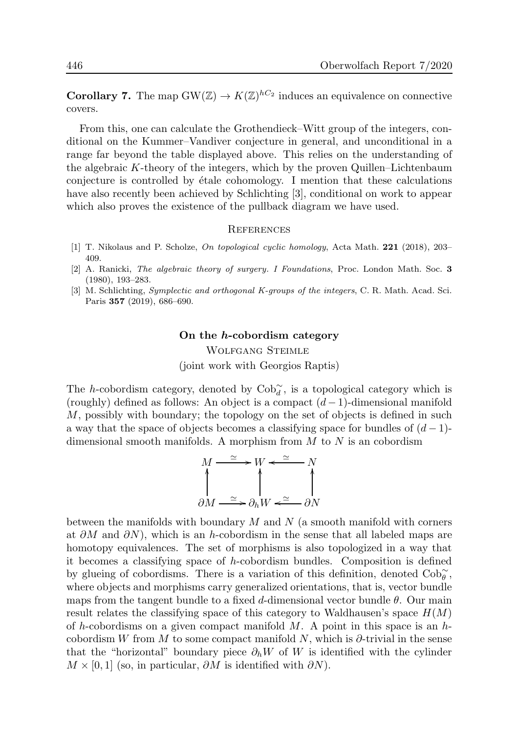**Corollary 7.** The map  $GW(\mathbb{Z}) \to K(\mathbb{Z})^{hC_2}$  induces an equivalence on connective covers.

From this, one can calculate the Grothendieck–Witt group of the integers, conditional on the Kummer–Vandiver conjecture in general, and unconditional in a range far beyond the table displayed above. This relies on the understanding of the algebraic K-theory of the integers, which by the proven Quillen–Lichtenbaum conjecture is controlled by étale cohomology. I mention that these calculations have also recently been achieved by Schlichting [3], conditional on work to appear which also proves the existence of the pullback diagram we have used.

#### **REFERENCES**

- [1] T. Nikolaus and P. Scholze, On topological cyclic homology, Acta Math. 221 (2018), 203– 409.
- [2] A. Ranicki, The algebraic theory of surgery. I Foundations, Proc. London Math. Soc. 3 (1980), 193–283.
- [3] M. Schlichting, Symplectic and orthogonal K-groups of the integers, C. R. Math. Acad. Sci. Paris 357 (2019), 686–690.

#### On the h-cobordism category

Wolfgang Steimle (joint work with Georgios Raptis)

The h-cobordism category, denoted by  $\text{Cob}_d^{\sim}$ , is a topological category which is (roughly) defined as follows: An object is a compact  $(d-1)$ -dimensional manifold M, possibly with boundary; the topology on the set of objects is defined in such a way that the space of objects becomes a classifying space for bundles of  $(d-1)$ dimensional smooth manifolds. A morphism from  $M$  to  $N$  is an cobordism

$$
M \xrightarrow{\simeq} W \xleftarrow{\simeq} N
$$
  

$$
\uparrow \qquad \qquad N
$$
  

$$
\partial M \xrightarrow{\simeq} \partial_h W \xleftarrow{\simeq} \partial N
$$

between the manifolds with boundary  $M$  and  $N$  (a smooth manifold with corners at  $\partial M$  and  $\partial N$ ), which is an h-cobordism in the sense that all labeled maps are homotopy equivalences. The set of morphisms is also topologized in a way that it becomes a classifying space of h-cobordism bundles. Composition is defined by glueing of cobordisms. There is a variation of this definition, denoted  $\text{Cob}\tilde{\theta}$ , where objects and morphisms carry generalized orientations, that is, vector bundle maps from the tangent bundle to a fixed d-dimensional vector bundle  $\theta$ . Our main result relates the classifying space of this category to Waldhausen's space  $H(M)$ of h-cobordisms on a given compact manifold M. A point in this space is an hcobordism W from M to some compact manifold N, which is  $\partial$ -trivial in the sense that the "horizontal" boundary piece  $\partial_h W$  of W is identified with the cylinder  $M \times [0, 1]$  (so, in particular,  $\partial M$  is identified with  $\partial N$ ).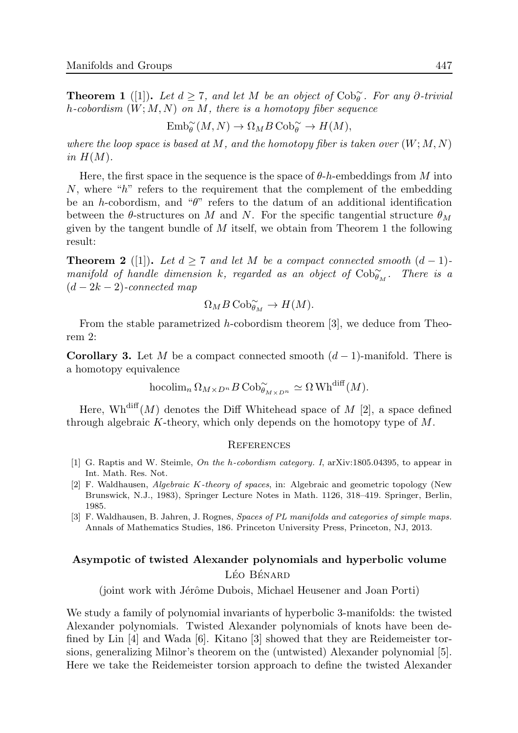**Theorem 1** ([1]). Let  $d \geq 7$ , and let M be an object of  $\text{Cob}_{\theta}^{\sim}$ . For any ∂-trivial h-cobordism  $(W; M, N)$  on M, there is a homotopy fiber sequence

$$
\mathrm{Emb}_{\theta}^{\sim}(M,N)\rightarrow \Omega_M B\, \mathrm{Cob}_{\theta}^{\sim} \rightarrow H(M),
$$

where the loop space is based at M, and the homotopy fiber is taken over  $(W; M, N)$ in  $H(M)$ .

Here, the first space in the sequence is the space of  $\theta$ -h-embeddings from M into N, where "h" refers to the requirement that the complement of the embedding be an h-cobordism, and " $\theta$ " refers to the datum of an additional identification between the  $\theta$ -structures on M and N. For the specific tangential structure  $\theta_M$ given by the tangent bundle of  $M$  itself, we obtain from Theorem 1 the following result:

**Theorem 2** ([1]). Let  $d \geq 7$  and let M be a compact connected smooth  $(d-1)$ manifold of handle dimension k, regarded as an object of  $\mathrm{Cob}^{\sim}_{\theta_M}$ . There is a  $(d-2k-2)$ -connected map

$$
\Omega_M B \, {\rm Cob}_{\theta_M}^\sim \to H(M).
$$

From the stable parametrized h-cobordism theorem [3], we deduce from Theorem 2:

**Corollary 3.** Let M be a compact connected smooth  $(d-1)$ -manifold. There is a homotopy equivalence

$$
\operatorname{hocolim} _n \Omega_{M \times D^n} B \operatorname{Cob}_{\theta_{M \times D^n}}^{\sim} \simeq \Omega \operatorname{Wh}^{\operatorname{diff}}(M).
$$

Here,  $\text{Wh}^{\text{diff}}(M)$  denotes the Diff Whitehead space of M [2], a space defined through algebraic  $K$ -theory, which only depends on the homotopy type of  $M$ .

#### **REFERENCES**

- [1] G. Raptis and W. Steimle, On the h-cobordism category. I, arXiv:1805.04395, to appear in Int. Math. Res. Not.
- [2] F. Waldhausen, Algebraic K-theory of spaces, in: Algebraic and geometric topology (New Brunswick, N.J., 1983), Springer Lecture Notes in Math. 1126, 318–419. Springer, Berlin, 1985.
- [3] F. Waldhausen, B. Jahren, J. Rognes, Spaces of PL manifolds and categories of simple maps. Annals of Mathematics Studies, 186. Princeton University Press, Princeton, NJ, 2013.

# Asympotic of twisted Alexander polynomials and hyperbolic volume LÉO BÉNARD

(joint work with Jérôme Dubois, Michael Heusener and Joan Porti)

We study a family of polynomial invariants of hyperbolic 3-manifolds: the twisted Alexander polynomials. Twisted Alexander polynomials of knots have been defined by Lin [4] and Wada [6]. Kitano [3] showed that they are Reidemeister torsions, generalizing Milnor's theorem on the (untwisted) Alexander polynomial [5]. Here we take the Reidemeister torsion approach to define the twisted Alexander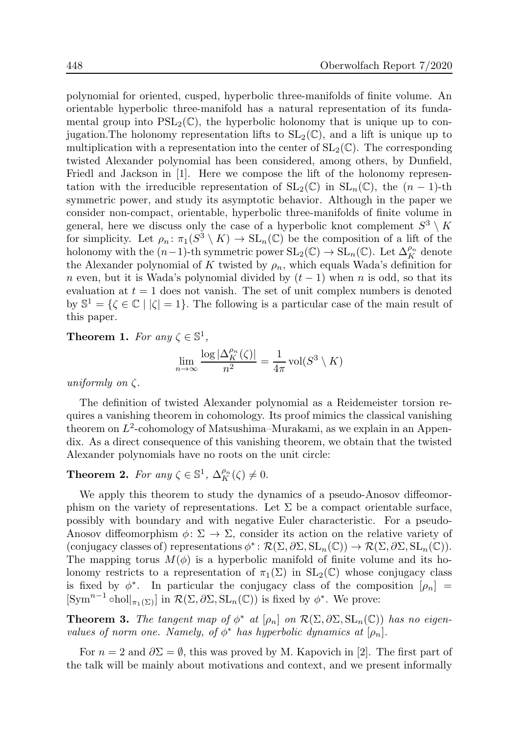polynomial for oriented, cusped, hyperbolic three-manifolds of finite volume. An orientable hyperbolic three-manifold has a natural representation of its fundamental group into  $PSL_2(\mathbb{C})$ , the hyperbolic holonomy that is unique up to conjugation. The holonomy representation lifts to  $SL_2(\mathbb{C})$ , and a lift is unique up to multiplication with a representation into the center of  $SL_2(\mathbb{C})$ . The corresponding twisted Alexander polynomial has been considered, among others, by Dunfield, Friedl and Jackson in [1]. Here we compose the lift of the holonomy representation with the irreducible representation of  $SL_2(\mathbb{C})$  in  $SL_n(\mathbb{C})$ , the  $(n-1)$ -th symmetric power, and study its asymptotic behavior. Although in the paper we consider non-compact, orientable, hyperbolic three-manifolds of finite volume in general, here we discuss only the case of a hyperbolic knot complement  $S^3 \setminus K$ for simplicity. Let  $\rho_n: \pi_1(S^3 \setminus K) \to SL_n(\mathbb{C})$  be the composition of a lift of the holonomy with the  $(n-1)$ -th symmetric power  $SL_2(\mathbb{C}) \to SL_n(\mathbb{C})$ . Let  $\Delta_K^{\rho_n}$  denote the Alexander polynomial of K twisted by  $\rho_n$ , which equals Wada's definition for n even, but it is Wada's polynomial divided by  $(t-1)$  when n is odd, so that its evaluation at  $t = 1$  does not vanish. The set of unit complex numbers is denoted by  $\mathbb{S}^1 = {\zeta \in \mathbb{C} \mid |\zeta| = 1}.$  The following is a particular case of the main result of this paper.

**Theorem 1.** For any  $\zeta \in \mathbb{S}^1$ ,

$$
\lim_{n \to \infty} \frac{\log |\Delta_K^{\rho_n}(\zeta)|}{n^2} = \frac{1}{4\pi} \operatorname{vol}(S^3 \setminus K)
$$

uniformly on  $\zeta$ .

The definition of twisted Alexander polynomial as a Reidemeister torsion requires a vanishing theorem in cohomology. Its proof mimics the classical vanishing theorem on  $L^2$ -cohomology of Matsushima–Murakami, as we explain in an Appendix. As a direct consequence of this vanishing theorem, we obtain that the twisted Alexander polynomials have no roots on the unit circle:

# **Theorem 2.** For any  $\zeta \in \mathbb{S}^1$ ,  $\Delta_K^{\rho_n}(\zeta) \neq 0$ .

We apply this theorem to study the dynamics of a pseudo-Anosov diffeomorphism on the variety of representations. Let  $\Sigma$  be a compact orientable surface, possibly with boundary and with negative Euler characteristic. For a pseudo-Anosov diffeomorphism  $\phi \colon \Sigma \to \Sigma$ , consider its action on the relative variety of (conjugacy classes of) representations  $\phi^*: \mathcal{R}(\Sigma, \partial \Sigma, \mathrm{SL}_n(\mathbb{C})) \to \mathcal{R}(\Sigma, \partial \Sigma, \mathrm{SL}_n(\mathbb{C}))$ . The mapping torus  $M(\phi)$  is a hyperbolic manifold of finite volume and its holonomy restricts to a representation of  $\pi_1(\Sigma)$  in  $SL_2(\mathbb{C})$  whose conjugacy class is fixed by  $\phi^*$ . In particular the conjugacy class of the composition  $[\rho_n]$  =  $[\text{Sym}^{n-1} \text{ohol}|_{\pi_1(\Sigma)}]$  in  $\mathcal{R}(\Sigma, \partial \Sigma, \text{SL}_n(\mathbb{C}))$  is fixed by  $\phi^*$ . We prove:

**Theorem 3.** The tangent map of  $\phi^*$  at  $[\rho_n]$  on  $\mathcal{R}(\Sigma, \partial \Sigma, SL_n(\mathbb{C}))$  has no eigenvalues of norm one. Namely, of  $\phi^*$  has hyperbolic dynamics at  $[\rho_n]$ .

For  $n = 2$  and  $\partial \Sigma = \emptyset$ , this was proved by M. Kapovich in [2]. The first part of the talk will be mainly about motivations and context, and we present informally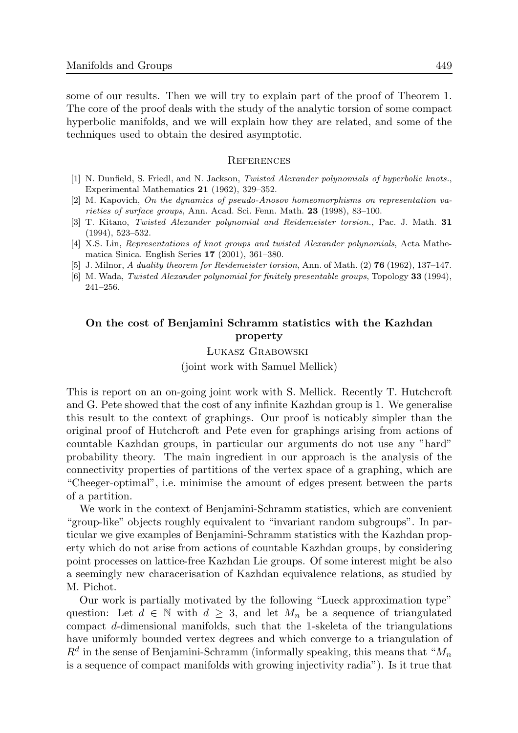some of our results. Then we will try to explain part of the proof of Theorem 1. The core of the proof deals with the study of the analytic torsion of some compact hyperbolic manifolds, and we will explain how they are related, and some of the techniques used to obtain the desired asymptotic.

#### **REFERENCES**

- [1] N. Dunfield, S. Friedl, and N. Jackson, Twisted Alexander polynomials of hyperbolic knots., Experimental Mathematics 21 (1962), 329–352.
- [2] M. Kapovich, On the dynamics of pseudo-Anosov homeomorphisms on representation varieties of surface groups, Ann. Acad. Sci. Fenn. Math. 23 (1998), 83–100.
- [3] T. Kitano, Twisted Alexander polynomial and Reidemeister torsion., Pac. J. Math. 31 (1994), 523–532.
- [4] X.S. Lin, Representations of knot groups and twisted Alexander polynomials, Acta Mathematica Sinica. English Series 17 (2001), 361–380.
- [5] J. Milnor, A duality theorem for Reidemeister torsion, Ann. of Math. (2) **76** (1962), 137–147.
- [6] M. Wada, Twisted Alexander polynomial for finitely presentable groups, Topology 33 (1994), 241–256.

### On the cost of Benjamini Schramm statistics with the Kazhdan property

Lukasz Grabowski

(joint work with Samuel Mellick)

This is report on an on-going joint work with S. Mellick. Recently T. Hutchcroft and G. Pete showed that the cost of any infinite Kazhdan group is 1. We generalise this result to the context of graphings. Our proof is noticably simpler than the original proof of Hutchcroft and Pete even for graphings arising from actions of countable Kazhdan groups, in particular our arguments do not use any "hard" probability theory. The main ingredient in our approach is the analysis of the connectivity properties of partitions of the vertex space of a graphing, which are "Cheeger-optimal", i.e. minimise the amount of edges present between the parts of a partition.

We work in the context of Benjamini-Schramm statistics, which are convenient "group-like" objects roughly equivalent to "invariant random subgroups". In particular we give examples of Benjamini-Schramm statistics with the Kazhdan property which do not arise from actions of countable Kazhdan groups, by considering point processes on lattice-free Kazhdan Lie groups. Of some interest might be also a seemingly new characerisation of Kazhdan equivalence relations, as studied by M. Pichot.

Our work is partially motivated by the following "Lueck approximation type" question: Let  $d \in \mathbb{N}$  with  $d \geq 3$ , and let  $M_n$  be a sequence of triangulated compact d-dimensional manifolds, such that the 1-skeleta of the triangulations have uniformly bounded vertex degrees and which converge to a triangulation of  $R<sup>d</sup>$  in the sense of Benjamini-Schramm (informally speaking, this means that " $M<sub>n</sub>$ is a sequence of compact manifolds with growing injectivity radia"). Is it true that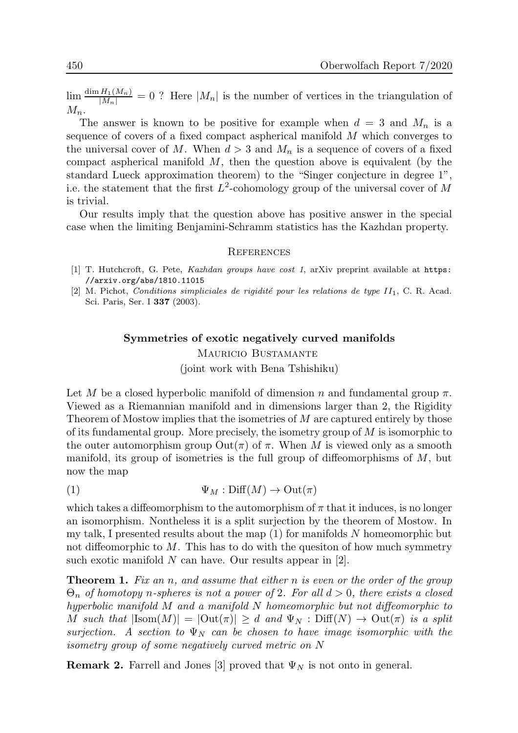$\lim_{n \to \infty} \frac{\dim H_1(M_n)}{|M_n|} = 0$ ? Here  $|M_n|$  is the number of vertices in the triangulation of  $M_n$ .

The answer is known to be positive for example when  $d = 3$  and  $M_n$  is a sequence of covers of a fixed compact aspherical manifold M which converges to the universal cover of M. When  $d > 3$  and  $M_n$  is a sequence of covers of a fixed compact aspherical manifold  $M$ , then the question above is equivalent (by the standard Lueck approximation theorem) to the "Singer conjecture in degree 1", i.e. the statement that the first  $L^2$ -cohomology group of the universal cover of M is trivial.

Our results imply that the question above has positive answer in the special case when the limiting Benjamini-Schramm statistics has the Kazhdan property.

#### **REFERENCES**

- [1] T. Hutchcroft, G. Pete, *Kazhdan groups have cost 1*, arXiv preprint available at https: //arxiv.org/abs/1810.11015
- [2] M. Pichot, Conditions simpliciales de rigidité pour les relations de type  $II_1$ , C. R. Acad. Sci. Paris, Ser. I 337 (2003).

# Symmetries of exotic negatively curved manifolds MAURICIO BUSTAMANTE (joint work with Bena Tshishiku)

Let M be a closed hyperbolic manifold of dimension n and fundamental group  $\pi$ . Viewed as a Riemannian manifold and in dimensions larger than 2, the Rigidity Theorem of Mostow implies that the isometries of M are captured entirely by those of its fundamental group. More precisely, the isometry group of M is isomorphic to the outer automorphism group  $\mathrm{Out}(\pi)$  of  $\pi$ . When M is viewed only as a smooth manifold, its group of isometries is the full group of diffeomorphisms of  $M$ , but now the map

(1) 
$$
\Psi_M : \text{Diff}(M) \to \text{Out}(\pi)
$$

which takes a diffeomorphism to the automorphism of  $\pi$  that it induces, is no longer an isomorphism. Nontheless it is a split surjection by the theorem of Mostow. In my talk, I presented results about the map  $(1)$  for manifolds N homeomorphic but not diffeomorphic to  $M$ . This has to do with the question of how much symmetry such exotic manifold N can have. Our results appear in [2].

**Theorem 1.** Fix an n, and assume that either n is even or the order of the group  $\Theta_n$  of homotopy n-spheres is not a power of 2. For all  $d > 0$ , there exists a closed hyperbolic manifold M and a manifold N homeomorphic but not diffeomorphic to M such that  $|\text{Isom}(M)| = |\text{Out}(\pi)| \geq d$  and  $\Psi_N : \text{Diff}(N) \to \text{Out}(\pi)$  is a split surjection. A section to  $\Psi_N$  can be chosen to have image isomorphic with the isometry group of some negatively curved metric on N

**Remark 2.** Farrell and Jones [3] proved that  $\Psi_N$  is not onto in general.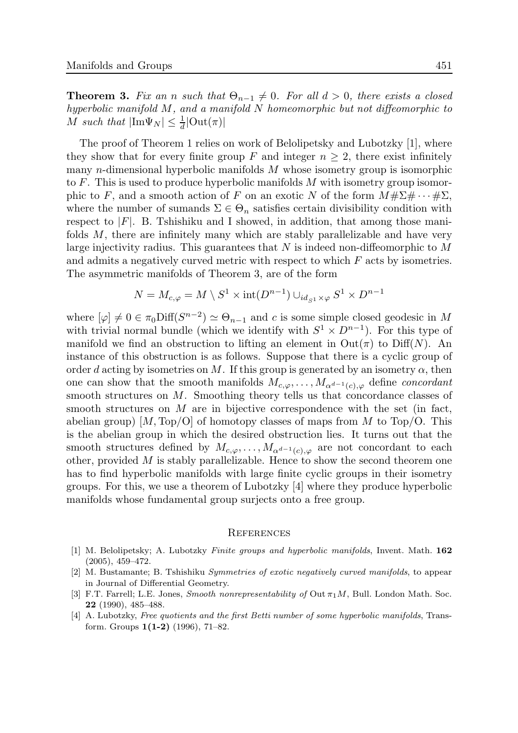**Theorem 3.** Fix an n such that  $\Theta_{n-1} \neq 0$ . For all  $d > 0$ , there exists a closed hyperbolic manifold M, and a manifold N homeomorphic but not diffeomorphic to M such that  $|\text{Im}\Psi_N|\leq \frac{1}{d}|\text{Out}(\pi)|$ 

The proof of Theorem 1 relies on work of Belolipetsky and Lubotzky [1], where they show that for every finite group F and integer  $n \geq 2$ , there exist infinitely many n-dimensional hyperbolic manifolds M whose isometry group is isomorphic to  $F$ . This is used to produce hyperbolic manifolds  $M$  with isometry group isomorphic to F, and a smooth action of F on an exotic N of the form  $M \# \Sigma \# \cdots \# \Sigma$ , where the number of sumands  $\Sigma \in \Theta_n$  satisfies certain divisibility condition with respect to  $|F|$ . B. Tshishiku and I showed, in addition, that among those manifolds  $M$ , there are infinitely many which are stably parallelizable and have very large injectivity radius. This guarantees that  $N$  is indeed non-diffeomorphic to  $M$ and admits a negatively curved metric with respect to which F acts by isometries. The asymmetric manifolds of Theorem 3, are of the form

$$
N = M_{c,\varphi} = M \setminus S^1 \times \mathrm{int}(D^{n-1}) \cup_{id_{S^1} \times \varphi} S^1 \times D^{n-1}
$$

where  $[\varphi] \neq 0 \in \pi_0\text{Diff}(S^{n-2}) \simeq \Theta_{n-1}$  and c is some simple closed geodesic in M with trivial normal bundle (which we identify with  $S^1 \times D^{n-1}$ ). For this type of manifold we find an obstruction to lifting an element in  $Out(\pi)$  to  $Diff(N)$ . An instance of this obstruction is as follows. Suppose that there is a cyclic group of order d acting by isometries on M. If this group is generated by an isometry  $\alpha$ , then one can show that the smooth manifolds  $M_{c,\varphi}, \ldots, M_{\alpha^{d-1}(c),\varphi}$  define *concordant* smooth structures on M. Smoothing theory tells us that concordance classes of smooth structures on  $M$  are in bijective correspondence with the set (in fact, abelian group)  $[M, Top/O]$  of homotopy classes of maps from M to Top/O. This is the abelian group in which the desired obstruction lies. It turns out that the smooth structures defined by  $M_{c,\varphi}, \ldots, M_{\alpha^{d-1}(c),\varphi}$  are not concordant to each other, provided M is stably parallelizable. Hence to show the second theorem one has to find hyperbolic manifolds with large finite cyclic groups in their isometry groups. For this, we use a theorem of Lubotzky [4] where they produce hyperbolic manifolds whose fundamental group surjects onto a free group.

#### **REFERENCES**

- [1] M. Belolipetsky; A. Lubotzky Finite groups and hyperbolic manifolds, Invent. Math. 162 (2005), 459–472.
- [2] M. Bustamante; B. Tshishiku Symmetries of exotic negatively curved manifolds, to appear in Journal of Differential Geometry.
- [3] F.T. Farrell; L.E. Jones, *Smooth nonrepresentability of* Out  $\pi_1 M$ , Bull. London Math. Soc. 22 (1990), 485–488.
- [4] A. Lubotzky, Free quotients and the first Betti number of some hyperbolic manifolds, Transform. Groups 1(1-2) (1996), 71–82.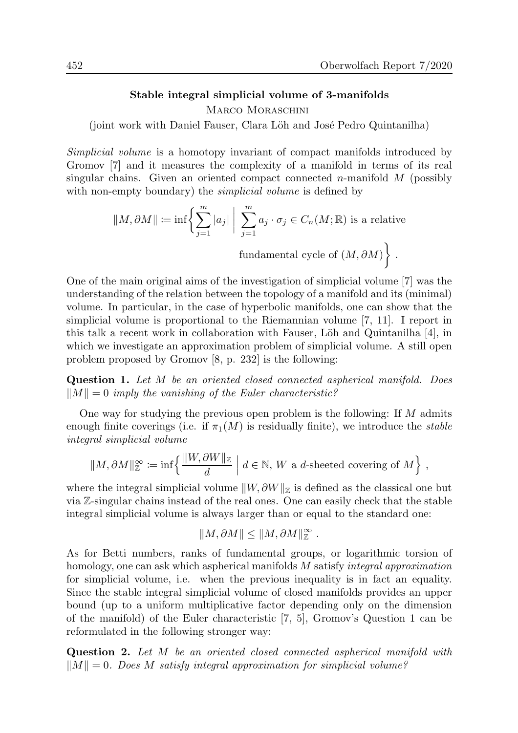### Stable integral simplicial volume of 3-manifolds

MARCO MORASCHINI

(joint work with Daniel Fauser, Clara Löh and José Pedro Quintanilha)

Simplicial volume is a homotopy invariant of compact manifolds introduced by Gromov [7] and it measures the complexity of a manifold in terms of its real singular chains. Given an oriented compact connected n-manifold  $M$  (possibly with non-empty boundary) the *simplicial volume* is defined by

$$
||M, \partial M|| := \inf \left\{ \sum_{j=1}^{m} |a_j| \mid \sum_{j=1}^{m} a_j \cdot \sigma_j \in C_n(M; \mathbb{R}) \text{ is a relative}
$$
  
fundamental cycle of  $(M, \partial M)$  .

One of the main original aims of the investigation of simplicial volume [7] was the understanding of the relation between the topology of a manifold and its (minimal) volume. In particular, in the case of hyperbolic manifolds, one can show that the simplicial volume is proportional to the Riemannian volume [7, 11]. I report in this talk a recent work in collaboration with Fauser, Löh and Quintanilha [4], in which we investigate an approximation problem of simplicial volume. A still open problem proposed by Gromov [8, p. 232] is the following:

Question 1. Let M be an oriented closed connected aspherical manifold. Does  $\|M\| = 0$  imply the vanishing of the Euler characteristic?

One way for studying the previous open problem is the following: If M admits enough finite coverings (i.e. if  $\pi_1(M)$  is residually finite), we introduce the *stable* integral simplicial volume

$$
||M, \partial M||_{\mathbb{Z}}^{\infty} := \inf \left\{ \frac{||W, \partial W||_{\mathbb{Z}}}{d} \mid d \in \mathbb{N}, W \text{ a } d \text{-sheeted covering of } M \right\},\
$$

where the integral simplicial volume  $||W, \partial W||_Z$  is defined as the classical one but via Z-singular chains instead of the real ones. One can easily check that the stable integral simplicial volume is always larger than or equal to the standard one:

$$
||M, \partial M|| \leq ||M, \partial M||_{{\mathbb{Z}}}^{\infty} .
$$

As for Betti numbers, ranks of fundamental groups, or logarithmic torsion of homology, one can ask which aspherical manifolds M satisfy *integral approximation* for simplicial volume, i.e. when the previous inequality is in fact an equality. Since the stable integral simplicial volume of closed manifolds provides an upper bound (up to a uniform multiplicative factor depending only on the dimension of the manifold) of the Euler characteristic [7, 5], Gromov's Question 1 can be reformulated in the following stronger way:

Question 2. Let M be an oriented closed connected aspherical manifold with  $||M|| = 0$ . Does M satisfy integral approximation for simplicial volume?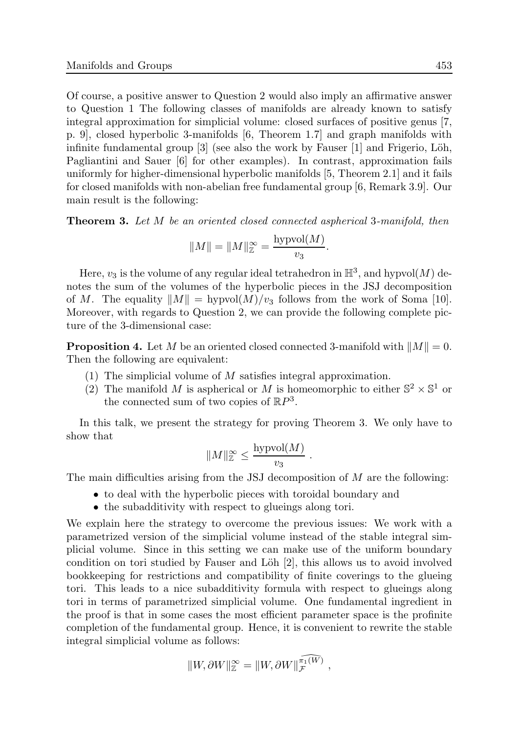Of course, a positive answer to Question 2 would also imply an affirmative answer to Question 1 The following classes of manifolds are already known to satisfy integral approximation for simplicial volume: closed surfaces of positive genus [7, p. 9], closed hyperbolic 3-manifolds [6, Theorem 1.7] and graph manifolds with infinite fundamental group  $[3]$  (see also the work by Fauser  $[1]$  and Frigerio, Löh, Pagliantini and Sauer [6] for other examples). In contrast, approximation fails uniformly for higher-dimensional hyperbolic manifolds [5, Theorem 2.1] and it fails for closed manifolds with non-abelian free fundamental group [6, Remark 3.9]. Our main result is the following:

**Theorem 3.** Let M be an oriented closed connected aspherical 3-manifold, then

$$
||M|| = ||M||_{\mathbb{Z}}^{\infty} = \frac{\text{hypvol}(M)}{v_3}.
$$

Here,  $v_3$  is the volume of any regular ideal tetrahedron in  $\mathbb{H}^3$ , and hypvol $(M)$  denotes the sum of the volumes of the hyperbolic pieces in the JSJ decomposition of M. The equality  $||M|| = \text{hypol}(M)/v_3$  follows from the work of Soma [10]. Moreover, with regards to Question 2, we can provide the following complete picture of the 3-dimensional case:

**Proposition 4.** Let M be an oriented closed connected 3-manifold with  $||M|| = 0$ . Then the following are equivalent:

- (1) The simplicial volume of M satisfies integral approximation.
- (2) The manifold M is aspherical or M is homeomorphic to either  $\mathbb{S}^2 \times \mathbb{S}^1$  or the connected sum of two copies of  $\mathbb{R}P^3$ .

In this talk, we present the strategy for proving Theorem 3. We only have to show that

$$
||M||^\infty_{\mathbb{Z}} \leq \frac{\text{hypvol}(M)}{v_3}
$$

.

The main difficulties arising from the JSJ decomposition of M are the following:

- to deal with the hyperbolic pieces with toroidal boundary and
- the subadditivity with respect to glueings along tori.

We explain here the strategy to overcome the previous issues: We work with a parametrized version of the simplicial volume instead of the stable integral simplicial volume. Since in this setting we can make use of the uniform boundary condition on tori studied by Fauser and Löh [2], this allows us to avoid involved bookkeeping for restrictions and compatibility of finite coverings to the glueing tori. This leads to a nice subadditivity formula with respect to glueings along tori in terms of parametrized simplicial volume. One fundamental ingredient in the proof is that in some cases the most efficient parameter space is the profinite completion of the fundamental group. Hence, it is convenient to rewrite the stable integral simplicial volume as follows:

$$
||W,\partial W||^\infty_{\mathbb{Z}}=||W,\partial W||^{\widehat{\pi_1(W)}}_{\mathcal{F}},
$$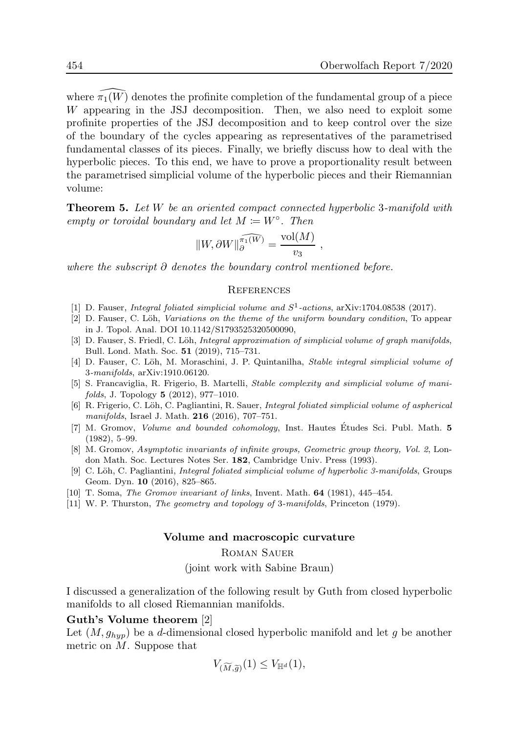where  $\pi_1(W)$  denotes the profinite completion of the fundamental group of a piece W appearing in the JSJ decomposition. Then, we also need to exploit some profinite properties of the JSJ decomposition and to keep control over the size of the boundary of the cycles appearing as representatives of the parametrised fundamental classes of its pieces. Finally, we briefly discuss how to deal with the hyperbolic pieces. To this end, we have to prove a proportionality result between the parametrised simplicial volume of the hyperbolic pieces and their Riemannian volume:

**Theorem 5.** Let W be an oriented compact connected hyperbolic 3-manifold with empty or toroidal boundary and let  $M \coloneqq W^{\circ}$ . Then

$$
||W,\partial W||_{\partial}^{\widehat{\pi_1(W)}} = \frac{\text{vol}(M)}{v_3} ,
$$

where the subscript  $\partial$  denotes the boundary control mentioned before.

#### **REFERENCES**

- [1] D. Fauser, *Integral foliated simplicial volume and*  $S^1$ -actions, arXiv:1704.08538 (2017).
- [2] D. Fauser, C. Löh, Variations on the theme of the uniform boundary condition, To appear in J. Topol. Anal. DOI 10.1142/S1793525320500090,
- [3] D. Fauser, S. Friedl, C. Löh, Integral approximation of simplicial volume of graph manifolds, Bull. Lond. Math. Soc. 51 (2019), 715–731.
- [4] D. Fauser, C. Löh, M. Moraschini, J. P. Quintanilha, *Stable integral simplicial volume of* 3-manifolds, arXiv:1910.06120.
- [5] S. Francaviglia, R. Frigerio, B. Martelli, Stable complexity and simplicial volume of manifolds, J. Topology 5 (2012), 977–1010.
- [6] R. Frigerio, C. Löh, C. Pagliantini, R. Sauer, *Integral foliated simplicial volume of aspherical* manifolds, Israel J. Math. 216 (2016), 707–751.
- [7] M. Gromov, *Volume and bounded cohomology*, Inst. Hautes Études Sci. Publ. Math. **5** (1982), 5–99.
- [8] M. Gromov, Asymptotic invariants of infinite groups, Geometric group theory, Vol. 2, London Math. Soc. Lectures Notes Ser. 182, Cambridge Univ. Press (1993).
- [9] C. Löh, C. Pagliantini, *Integral foliated simplicial volume of hyperbolic 3-manifolds*, Groups Geom. Dyn. 10 (2016), 825–865.
- [10] T. Soma, The Gromov invariant of links, Invent. Math. 64 (1981), 445–454.
- [11] W. P. Thurston, The geometry and topology of 3-manifolds, Princeton (1979).

#### Volume and macroscopic curvature

Roman Sauer

(joint work with Sabine Braun)

I discussed a generalization of the following result by Guth from closed hyperbolic manifolds to all closed Riemannian manifolds.

#### Guth's Volume theorem [2]

Let  $(M, g_{hyp})$  be a d-dimensional closed hyperbolic manifold and let g be another metric on M. Suppose that

$$
V_{(\widetilde{M},\widetilde{g})}(1) \leq V_{\mathbb{H}^d}(1),
$$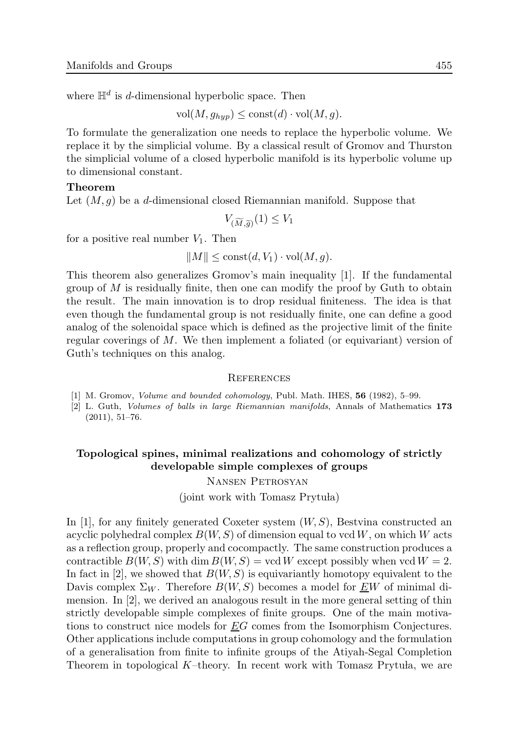where  $\mathbb{H}^d$  is d-dimensional hyperbolic space. Then

 $vol(M, q_{hyn}) \leq const(d) \cdot vol(M, q).$ 

To formulate the generalization one needs to replace the hyperbolic volume. We replace it by the simplicial volume. By a classical result of Gromov and Thurston the simplicial volume of a closed hyperbolic manifold is its hyperbolic volume up to dimensional constant.

### Theorem

Let  $(M, q)$  be a d-dimensional closed Riemannian manifold. Suppose that

$$
V_{(\widetilde{M},\widetilde{g})}(1) \le V_1
$$

for a positive real number  $V_1$ . Then

$$
||M|| \leq \text{const}(d, V_1) \cdot \text{vol}(M, g).
$$

This theorem also generalizes Gromov's main inequality [1]. If the fundamental group of  $M$  is residually finite, then one can modify the proof by Guth to obtain the result. The main innovation is to drop residual finiteness. The idea is that even though the fundamental group is not residually finite, one can define a good analog of the solenoidal space which is defined as the projective limit of the finite regular coverings of M. We then implement a foliated (or equivariant) version of Guth's techniques on this analog.

#### **REFERENCES**

- [1] M. Gromov, Volume and bounded cohomology, Publ. Math. IHES, 56 (1982), 5–99.
- [2] L. Guth, Volumes of balls in large Riemannian manifolds, Annals of Mathematics 173 (2011), 51–76.

# Topological spines, minimal realizations and cohomology of strictly developable simple complexes of groups

Nansen Petrosyan

(joint work with Tomasz Prytuła)

In [1], for any finitely generated Coxeter system  $(W, S)$ , Bestvina constructed an acyclic polyhedral complex  $B(W, S)$  of dimension equal to vcd W, on which W acts as a reflection group, properly and cocompactly. The same construction produces a contractible  $B(W, S)$  with dim  $B(W, S) = \text{vcd } W$  except possibly when  $\text{vcd } W = 2$ . In fact in [2], we showed that  $B(W, S)$  is equivariantly homotopy equivalent to the Davis complex  $\Sigma_W$ . Therefore  $B(W, S)$  becomes a model for  $\underline{EW}$  of minimal dimension. In [2], we derived an analogous result in the more general setting of thin strictly developable simple complexes of finite groups. One of the main motivations to construct nice models for EG comes from the Isomorphism Conjectures. Other applications include computations in group cohomology and the formulation of a generalisation from finite to infinite groups of the Atiyah-Segal Completion Theorem in topological  $K$ -theory. In recent work with Tomasz Prytuła, we are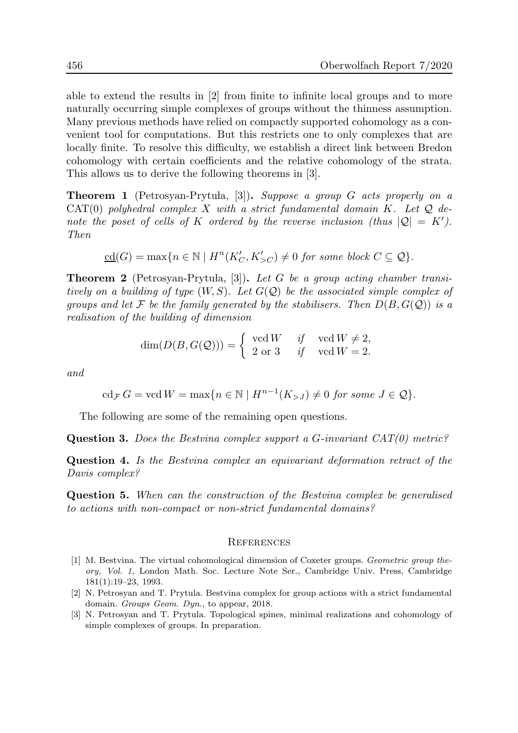able to extend the results in [2] from finite to infinite local groups and to more naturally occurring simple complexes of groups without the thinness assumption. Many previous methods have relied on compactly supported cohomology as a convenient tool for computations. But this restricts one to only complexes that are locally finite. To resolve this difficulty, we establish a direct link between Bredon cohomology with certain coefficients and the relative cohomology of the strata. This allows us to derive the following theorems in [3].

**Theorem 1** (Petrosyan-Prytula, [3]). Suppose a group G acts properly on a  $CAT(0)$  polyhedral complex X with a strict fundamental domain K. Let  $Q$  denote the poset of cells of K ordered by the reverse inclusion (thus  $|Q| = K'$ ). Then

$$
\underline{\mathrm{cd}}(G)=\max\{n\in\mathbb{N}\mid H^n(K_C',K_{>C}')\neq 0\text{ for some block }C\subseteq\mathcal{Q}\}.
$$

**Theorem 2** (Petrosyan-Prytula, [3]). Let G be a group acting chamber transitively on a building of type  $(W, S)$ . Let  $G(Q)$  be the associated simple complex of groups and let F be the family generated by the stabilisers. Then  $D(B, G(\mathcal{Q}))$  is a realisation of the building of dimension

$$
\dim(D(B, G(Q))) = \begin{cases} \text{vcd } W & \text{if } \text{vcd } W \neq 2, \\ 2 \text{ or } 3 & \text{if } \text{vcd } W = 2. \end{cases}
$$

and

$$
\operatorname{cd}_{\mathcal{F}} G = \operatorname{vcd} W = \max\{n \in \mathbb{N} \mid H^{n-1}(K_{>J}) \neq 0 \text{ for some } J \in \mathcal{Q}\}.
$$

The following are some of the remaining open questions.

**Question 3.** Does the Bestvina complex support a G-invariant  $CAT(0)$  metric?

Question 4. Is the Bestvina complex an equivariant deformation retract of the Davis complex?

Question 5. When can the construction of the Bestvina complex be generalised to actions with non-compact or non-strict fundamental domains?

#### **REFERENCES**

- [1] M. Bestvina. The virtual cohomological dimension of Coxeter groups. Geometric group theory, Vol. 1, London Math. Soc. Lecture Note Ser., Cambridge Univ. Press, Cambridge 181(1):19–23, 1993.
- [2] N. Petrosyan and T. Prytula. Bestvina complex for group actions with a strict fundamental domain. Groups Geom. Dyn., to appear, 2018.
- [3] N. Petrosyan and T. Prytula. Topological spines, minimal realizations and cohomology of simple complexes of groups. In preparation.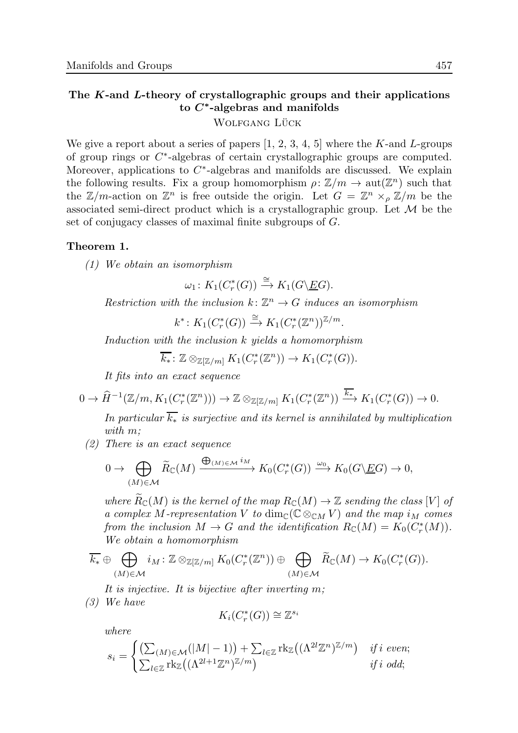### The K-and L-theory of crystallographic groups and their applications to  $C^*$ -algebras and manifolds

# WOLFGANG LÜCK

We give a report about a series of papers  $[1, 2, 3, 4, 5]$  where the K-and L-groups of group rings or C ∗ -algebras of certain crystallographic groups are computed. Moreover, applications to  $C^*$ -algebras and manifolds are discussed. We explain the following results. Fix a group homomorphism  $\rho: \mathbb{Z}/m \to \text{aut}(\mathbb{Z}^n)$  such that the  $\mathbb{Z}/m$ -action on  $\mathbb{Z}^n$  is free outside the origin. Let  $G = \mathbb{Z}^n \times_{\rho} \mathbb{Z}/m$  be the associated semi-direct product which is a crystallographic group. Let  $\mathcal M$  be the set of conjugacy classes of maximal finite subgroups of G.

### Theorem 1.

(1) We obtain an isomorphism

 $\omega_1$ :  $K_1(C_r^*$  $r^*(G)) \stackrel{\cong}{\longrightarrow} K_1(G\backslash \underline{E}G).$ 

Restriction with the inclusion  $k: \mathbb{Z}^n \to G$  induces an isomorphism

 $k^*$ :  $K_1(C_r^*$  $r^*(G)) \stackrel{\cong}{\longrightarrow} K_1(C_r^*)$  $\binom{m}{r} \binom{\mathbb{Z}^n}{m}$ .

Induction with the inclusion k yields a homomorphism

 $\overline{k_*}\colon \mathbb{Z} \otimes_{\mathbb{Z}[\mathbb{Z}/m]} K_1(C^*_r)$  $f_r^*(\mathbb{Z}^n)) \to K_1(C_r^*)$  $_{r}^{\ast}(G)).$ 

It fits into an exact sequence

$$
0 \to \widehat{H}^{-1}(\mathbb{Z}/m, K_1(C_r^*(\mathbb{Z}^n))) \to \mathbb{Z} \otimes_{\mathbb{Z}[\mathbb{Z}/m]} K_1(C_r^*(\mathbb{Z}^n)) \xrightarrow{\overline{k_*}} K_1(C_r^*(G)) \to 0.
$$

In particular  $\overline{k_*}$  is surjective and its kernel is annihilated by multiplication with  $m$ :

 $(2)$  There is an exact sequence

$$
0 \to \bigoplus_{(M)\in\mathcal{M}} \widetilde{R}_{\mathbb{C}}(M) \xrightarrow{\bigoplus_{(M)\in\mathcal{M}} i_M} K_0(C_r^*(G)) \xrightarrow{\omega_0} K_0(G \backslash \underline{E}G) \to 0,
$$

where  $\widetilde{R}_{\mathbb{C}}(M)$  is the kernel of the map  $R_{\mathbb{C}}(M) \to \mathbb{Z}$  sending the class [V] of a complex M-representation V to  $\dim_{\mathbb{C}}(\mathbb{C}\otimes_{\mathbb{C}M}V)$  and the map  $i_M$  comes from the inclusion  $M \to G$  and the identification  $R_{\mathbb{C}}(M) = K_0(C_r^*(M)).$ We obtain a homomorphism

$$
\overline{k_*} \oplus \bigoplus_{(M)\in \mathcal{M}} i_M: \mathbb{Z} \otimes_{\mathbb{Z}[\mathbb{Z}/m]} K_0(C_r^*(\mathbb{Z}^n)) \oplus \bigoplus_{(M)\in \mathcal{M}} \widetilde{R}_\mathbb{C}(M) \to K_0(C_r^*(G)).
$$

It is injective. It is bijective after inverting m;

(3) We have

$$
K_i(C^*_r(G)) \cong \mathbb{Z}^{s_i}
$$

where

$$
s_i = \begin{cases} \left(\sum_{(M) \in \mathcal{M}} (|M| - 1)\right) + \sum_{l \in \mathbb{Z}} \text{rk}_{\mathbb{Z}} \left((\Lambda^{2l} \mathbb{Z}^n)^{\mathbb{Z}/m}\right) & \text{if } i \text{ even;}\\ \sum_{l \in \mathbb{Z}} \text{rk}_{\mathbb{Z}} \left((\Lambda^{2l+1} \mathbb{Z}^n)^{\mathbb{Z}/m}\right) & \text{if } i \text{ odd;} \end{cases}
$$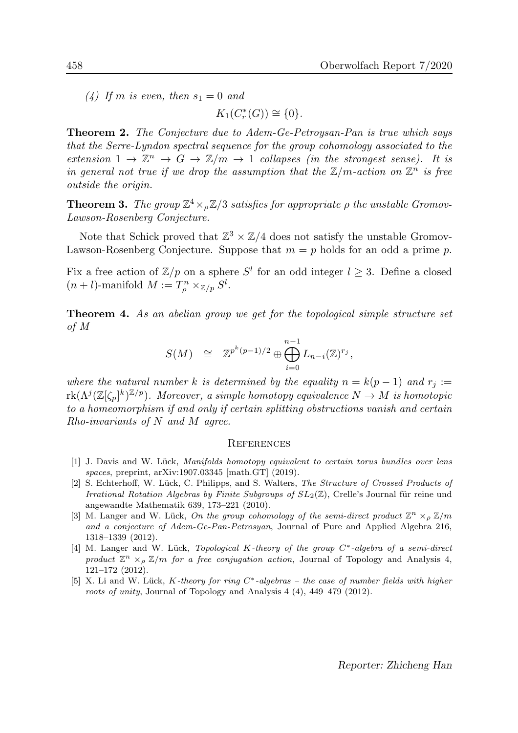(4) If m is even, then  $s_1 = 0$  and

 $K_1(C_r^*$  $f_r^*(G)) \cong \{0\}.$ 

Theorem 2. The Conjecture due to Adem-Ge-Petroysan-Pan is true which says that the Serre-Lyndon spectral sequence for the group cohomology associated to the extension  $1 \to \mathbb{Z}^n \to G \to \mathbb{Z}/m \to 1$  collapses (in the strongest sense). It is in general not true if we drop the assumption that the  $\mathbb{Z}/m$ -action on  $\mathbb{Z}^n$  is free outside the origin.

**Theorem 3.** The group  $\mathbb{Z}^4 \times_{\rho} \mathbb{Z}/3$  satisfies for appropriate  $\rho$  the unstable Gromov-Lawson-Rosenberg Conjecture.

Note that Schick proved that  $\mathbb{Z}^3 \times \mathbb{Z}/4$  does not satisfy the unstable Gromov-Lawson-Rosenberg Conjecture. Suppose that  $m = p$  holds for an odd a prime p.

Fix a free action of  $\mathbb{Z}/p$  on a sphere  $S^l$  for an odd integer  $l \geq 3$ . Define a closed  $(n+l)$ -manifold  $M := T_{\rho}^{n} \times_{\mathbb{Z}/p} S^{l}$ .

Theorem 4. As an abelian group we get for the topological simple structure set of M

$$
S(M) \quad \cong \quad {\mathbb Z}^{p^k(p-1)/2} \oplus \bigoplus_{i=0}^{n-1} L_{n-i} ({\mathbb Z})^{r_j},
$$

where the natural number k is determined by the equality  $n = k(p-1)$  and  $r_i :=$  $\mathrm{rk}(\Lambda^{j}(\mathbb{Z}[\zeta_p]^k)^{\mathbb{Z}/p}).$  Moreover, a simple homotopy equivalence  $N\to M$  is homotopic to a homeomorphism if and only if certain splitting obstructions vanish and certain  $Rho-invariants$  of N and M agree.

#### **REFERENCES**

- [1] J. Davis and W. Lück, Manifolds homotopy equivalent to certain torus bundles over lens spaces, preprint, arXiv:1907.03345 [math.GT] (2019).
- [2] S. Echterhoff, W. Lück, C. Philipps, and S. Walters, The Structure of Crossed Products of Irrational Rotation Algebras by Finite Subgroups of  $SL_2(\mathbb{Z})$ , Crelle's Journal für reine und angewandte Mathematik 639, 173–221 (2010).
- [3] M. Langer and W. Lück, On the group cohomology of the semi-direct product  $\mathbb{Z}^n \times_{\rho} \mathbb{Z}/m$ and a conjecture of Adem-Ge-Pan-Petrosyan, Journal of Pure and Applied Algebra 216, 1318–1339 (2012).
- [4] M. Langer and W. Lück, Topological K-theory of the group C<sup>\*</sup>-algebra of a semi-direct product  $\mathbb{Z}^n \times_{\rho} \mathbb{Z}/m$  for a free conjugation action, Journal of Topology and Analysis 4, 121–172 (2012).
- [5] X. Li and W. Lück, K-theory for ring  $C^*$ -algebras the case of number fields with higher roots of unity, Journal of Topology and Analysis 4 (4), 449–479 (2012).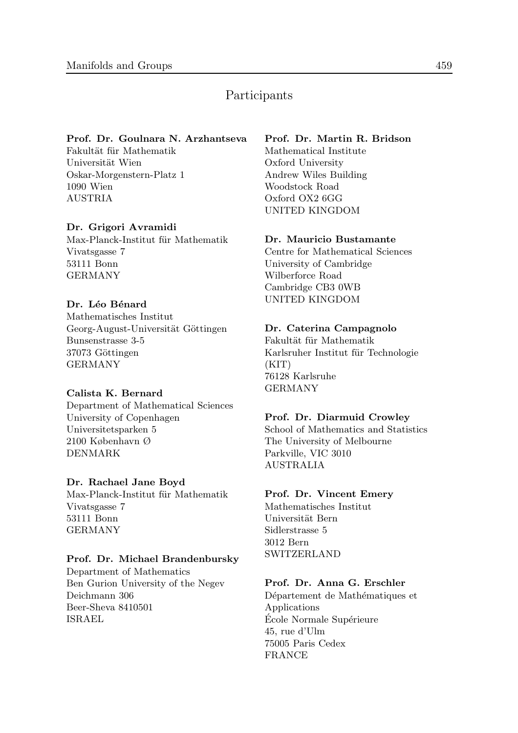# Participants

### Prof. Dr. Goulnara N. Arzhantseva

Fakultät für Mathematik Universität Wien Oskar-Morgenstern-Platz 1 1090 Wien AUSTRIA

### Dr. Grigori Avramidi

Max-Planck-Institut für Mathematik Vivatsgasse 7 53111 Bonn GERMANY

### Dr. Léo Bénard

Mathematisches Institut Georg-August-Universität Göttingen Bunsenstrasse 3-5 37073 Göttingen GERMANY

### Calista K. Bernard

Department of Mathematical Sciences University of Copenhagen Universitetsparken 5 2100 København Ø DENMARK

### Dr. Rachael Jane Boyd

Max-Planck-Institut für Mathematik Vivatsgasse 7 53111 Bonn GERMANY

### Prof. Dr. Michael Brandenbursky

Department of Mathematics Ben Gurion University of the Negev Deichmann 306 Beer-Sheva 8410501 ISRAEL

### Prof. Dr. Martin R. Bridson

Mathematical Institute Oxford University Andrew Wiles Building Woodstock Road Oxford OX2 6GG UNITED KINGDOM

### Dr. Mauricio Bustamante

Centre for Mathematical Sciences University of Cambridge Wilberforce Road Cambridge CB3 0WB UNITED KINGDOM

### Dr. Caterina Campagnolo

Fakultät für Mathematik Karlsruher Institut für Technologie  $(KIT)$ 76128 Karlsruhe GERMANY

### Prof. Dr. Diarmuid Crowley

School of Mathematics and Statistics The University of Melbourne Parkville, VIC 3010 AUSTRALIA

### Prof. Dr. Vincent Emery

Mathematisches Institut Universität Bern Sidlerstrasse 5 3012 Bern SWITZERLAND

### Prof. Dr. Anna G. Erschler

Département de Mathématiques et Applications École Normale Supérieure 45, rue d'Ulm 75005 Paris Cedex FRANCE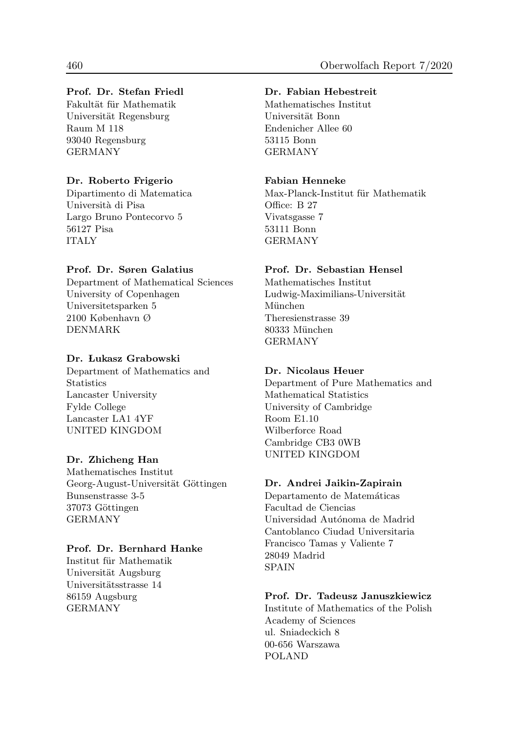### Prof. Dr. Stefan Friedl

Fakultät für Mathematik Universität Regensburg Raum M 118 93040 Regensburg GERMANY

### Dr. Roberto Frigerio

Dipartimento di Matematica Università di Pisa Largo Bruno Pontecorvo 5 56127 Pisa ITALY

### Prof. Dr. Søren Galatius

Department of Mathematical Sciences University of Copenhagen Universitetsparken 5 2100 København Ø DENMARK

### Dr. Lukasz Grabowski

Department of Mathematics and **Statistics** Lancaster University Fylde College Lancaster LA1 4YF UNITED KINGDOM

### Dr. Zhicheng Han

Mathematisches Institut Georg-August-Universität Göttingen Bunsenstrasse 3-5 37073 Göttingen GERMANY

### Prof. Dr. Bernhard Hanke

Institut für Mathematik Universität Augsburg Universitätsstrasse 14 86159 Augsburg GERMANY

### Dr. Fabian Hebestreit

Mathematisches Institut Universität Bonn Endenicher Allee 60 53115 Bonn GERMANY

### Fabian Henneke

Max-Planck-Institut für Mathematik Office: B 27 Vivatsgasse 7 53111 Bonn GERMANY

### Prof. Dr. Sebastian Hensel

Mathematisches Institut Ludwig-Maximilians-Universität München Theresienstrasse 39 80333 München GERMANY

### Dr. Nicolaus Heuer

Department of Pure Mathematics and Mathematical Statistics University of Cambridge Room E1.10 Wilberforce Road Cambridge CB3 0WB UNITED KINGDOM

### Dr. Andrei Jaikin-Zapirain

Departamento de Matemáticas Facultad de Ciencias Universidad Autónoma de Madrid Cantoblanco Ciudad Universitaria Francisco Tamas y Valiente 7 28049 Madrid SPAIN

### Prof. Dr. Tadeusz Januszkiewicz

Institute of Mathematics of the Polish Academy of Sciences ul. Sniadeckich 8 00-656 Warszawa POLAND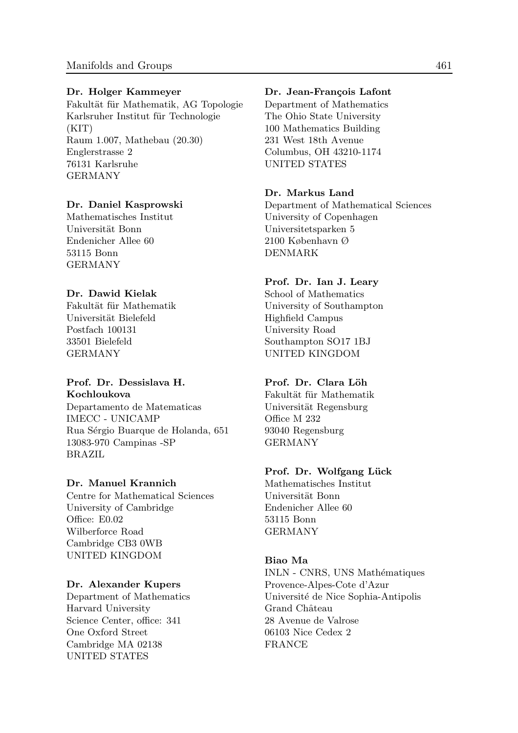#### Dr. Holger Kammeyer

Fakultät für Mathematik, AG Topologie Karlsruher Institut für Technologie (KIT) Raum 1.007, Mathebau (20.30) Englerstrasse 2 76131 Karlsruhe GERMANY

### Dr. Daniel Kasprowski

Mathematisches Institut Universit¨at Bonn Endenicher Allee 60 53115 Bonn GERMANY

### Dr. Dawid Kielak

Fakultät für Mathematik Universität Bielefeld Postfach 100131 33501 Bielefeld GERMANY

#### Prof. Dr. Dessislava H. Kochloukova

Departamento de Matematicas IMECC - UNICAMP Rua Sérgio Buarque de Holanda, 651 13083-970 Campinas -SP BRAZIL

#### Dr. Manuel Krannich

Centre for Mathematical Sciences University of Cambridge Office: E0.02 Wilberforce Road Cambridge CB3 0WB UNITED KINGDOM

#### Dr. Alexander Kupers

Department of Mathematics Harvard University Science Center, office: 341 One Oxford Street Cambridge MA 02138 UNITED STATES

#### Dr. Jean-François Lafont

Department of Mathematics The Ohio State University 100 Mathematics Building 231 West 18th Avenue Columbus, OH 43210-1174 UNITED STATES

#### Dr. Markus Land

Department of Mathematical Sciences University of Copenhagen Universitetsparken 5 2100 København Ø DENMARK

### Prof. Dr. Ian J. Leary

School of Mathematics University of Southampton Highfield Campus University Road Southampton SO17 1BJ UNITED KINGDOM

#### Prof. Dr. Clara Löh

Fakultät für Mathematik Universität Regensburg Office M 232 93040 Regensburg GERMANY

### Prof. Dr. Wolfgang Lück

Mathematisches Institut Universit¨at Bonn Endenicher Allee 60 53115 Bonn GERMANY

### Biao Ma

INLN - CNRS, UNS Mathématiques Provence-Alpes-Cote d'Azur Université de Nice Sophia-Antipolis Grand Château 28 Avenue de Valrose 06103 Nice Cedex 2 FRANCE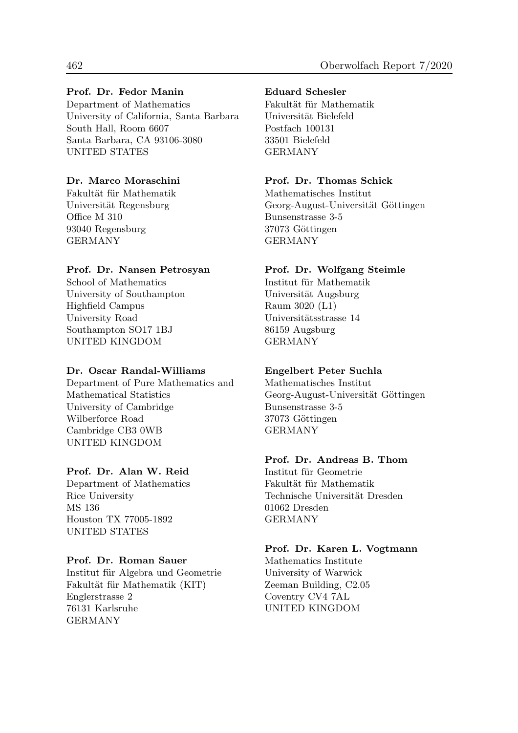### Prof. Dr. Fedor Manin

Department of Mathematics University of California, Santa Barbara South Hall, Room 6607 Santa Barbara, CA 93106-3080 UNITED STATES

### Dr. Marco Moraschini

Fakultät für Mathematik Universität Regensburg Office M 310 93040 Regensburg GERMANY

### Prof. Dr. Nansen Petrosyan

School of Mathematics University of Southampton Highfield Campus University Road Southampton SO17 1BJ UNITED KINGDOM

### Dr. Oscar Randal-Williams

Department of Pure Mathematics and Mathematical Statistics University of Cambridge Wilberforce Road Cambridge CB3 0WB UNITED KINGDOM

### Prof. Dr. Alan W. Reid

Department of Mathematics Rice University MS 136 Houston TX 77005-1892 UNITED STATES

### Prof. Dr. Roman Sauer

Institut für Algebra und Geometrie Fakultät für Mathematik (KIT) Englerstrasse 2 76131 Karlsruhe GERMANY

### Eduard Schesler

Fakultät für Mathematik Universität Bielefeld Postfach 100131 33501 Bielefeld GERMANY

### Prof. Dr. Thomas Schick

Mathematisches Institut Georg-August-Universität Göttingen Bunsenstrasse 3-5 37073 Göttingen GERMANY

### Prof. Dr. Wolfgang Steimle

Institut für Mathematik Universität Augsburg Raum 3020 (L1) Universitätsstrasse 14 86159 Augsburg GERMANY

### Engelbert Peter Suchla

Mathematisches Institut Georg-August-Universität Göttingen Bunsenstrasse 3-5 37073 Göttingen GERMANY

### Prof. Dr. Andreas B. Thom

Institut für Geometrie Fakultät für Mathematik Technische Universität Dresden 01062 Dresden GERMANY

### Prof. Dr. Karen L. Vogtmann

Mathematics Institute University of Warwick Zeeman Building, C2.05 Coventry CV4 7AL UNITED KINGDOM